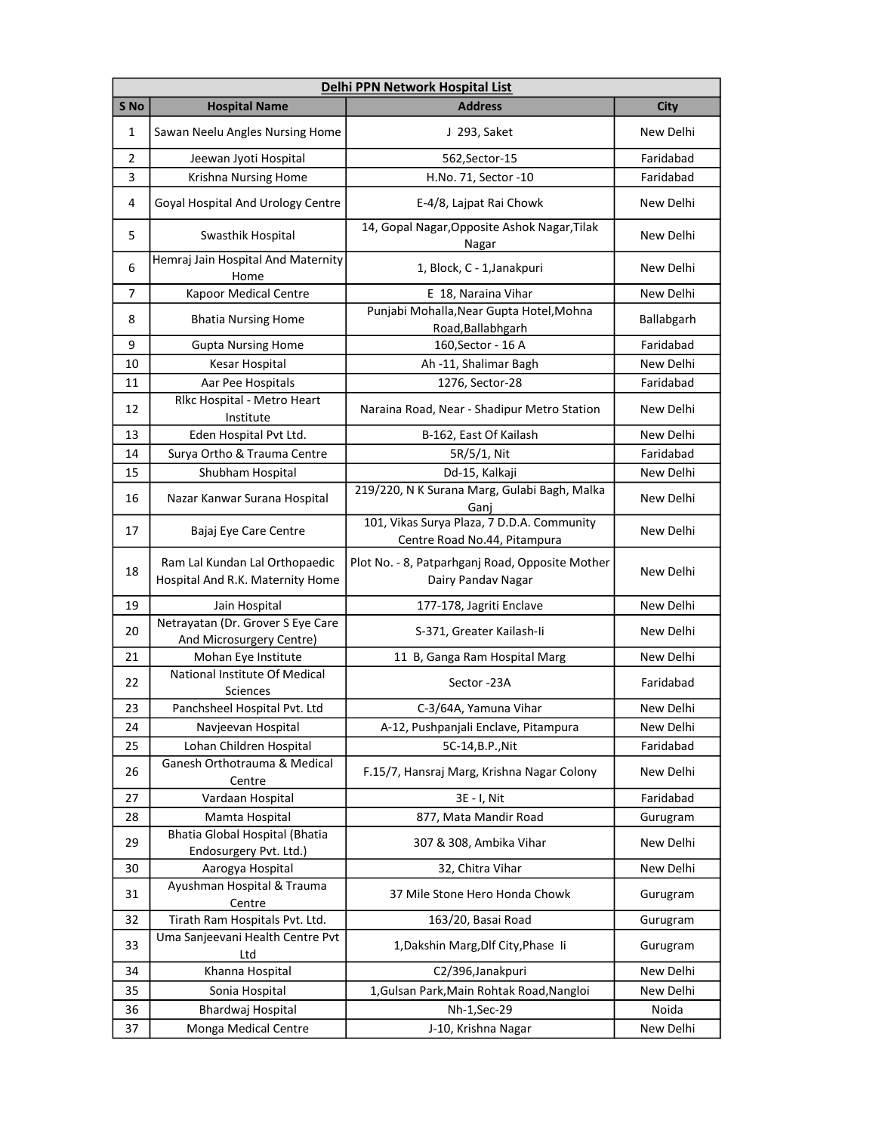|      | Delhi PPN Network Hospital List                                    |                                                                            |             |  |
|------|--------------------------------------------------------------------|----------------------------------------------------------------------------|-------------|--|
| S No | <b>Hospital Name</b>                                               | <b>Address</b>                                                             | <b>City</b> |  |
| 1    | Sawan Neelu Angles Nursing Home                                    | J 293, Saket                                                               | New Delhi   |  |
| 2    | Jeewan Jyoti Hospital                                              | 562, Sector-15                                                             | Faridabad   |  |
| 3    | Krishna Nursing Home                                               | H.No. 71, Sector -10                                                       | Faridabad   |  |
| 4    | Goyal Hospital And Urology Centre                                  | E-4/8, Lajpat Rai Chowk                                                    | New Delhi   |  |
| 5    | Swasthik Hospital                                                  | 14, Gopal Nagar, Opposite Ashok Nagar, Tilak<br>Nagar                      | New Delhi   |  |
| 6    | Hemraj Jain Hospital And Maternity<br>Home                         | 1, Block, C - 1, Janakpuri                                                 | New Delhi   |  |
| 7    | <b>Kapoor Medical Centre</b>                                       | E 18, Naraina Vihar                                                        | New Delhi   |  |
| 8    | <b>Bhatia Nursing Home</b>                                         | Punjabi Mohalla, Near Gupta Hotel, Mohna<br>Road, Ballabhgarh              | Ballabgarh  |  |
| 9    | <b>Gupta Nursing Home</b>                                          | 160, Sector - 16 A                                                         | Faridabad   |  |
| 10   | Kesar Hospital                                                     | Ah -11, Shalimar Bagh                                                      | New Delhi   |  |
| 11   | Aar Pee Hospitals                                                  | 1276, Sector-28                                                            | Faridabad   |  |
| 12   | Rlkc Hospital - Metro Heart<br>Institute                           | Naraina Road, Near - Shadipur Metro Station                                | New Delhi   |  |
| 13   | Eden Hospital Pvt Ltd.                                             | B-162, East Of Kailash                                                     | New Delhi   |  |
| 14   | Surya Ortho & Trauma Centre                                        | 5R/5/1, Nit                                                                | Faridabad   |  |
| 15   | Shubham Hospital                                                   | Dd-15, Kalkaji                                                             | New Delhi   |  |
| 16   | Nazar Kanwar Surana Hospital                                       | 219/220, N K Surana Marg, Gulabi Bagh, Malka<br>Ganj                       | New Delhi   |  |
| 17   | Bajaj Eye Care Centre                                              | 101, Vikas Surya Plaza, 7 D.D.A. Community<br>Centre Road No.44, Pitampura | New Delhi   |  |
| 18   | Ram Lal Kundan Lal Orthopaedic<br>Hospital And R.K. Maternity Home | Plot No. - 8, Patparhganj Road, Opposite Mother<br>Dairy Pandav Nagar      | New Delhi   |  |
| 19   | Jain Hospital                                                      | 177-178, Jagriti Enclave                                                   | New Delhi   |  |
| 20   | Netrayatan (Dr. Grover S Eye Care<br>And Microsurgery Centre)      | S-371, Greater Kailash-Ii                                                  | New Delhi   |  |
| 21   | Mohan Eye Institute                                                | 11 B, Ganga Ram Hospital Marg                                              | New Delhi   |  |
| 22   | National Institute Of Medical<br>Sciences                          | Sector -23A                                                                | Faridabad   |  |
| 23   | Panchsheel Hospital Pvt. Ltd                                       | C-3/64A, Yamuna Vihar                                                      | New Delhi   |  |
| 24   | Navjeevan Hospital                                                 | A-12, Pushpanjali Enclave, Pitampura                                       | New Delhi   |  |
| 25   | Lohan Children Hospital                                            | 5C-14, B.P., Nit                                                           | Faridabad   |  |
| 26   | Ganesh Orthotrauma & Medical<br>Centre                             | F.15/7, Hansraj Marg, Krishna Nagar Colony                                 | New Delhi   |  |
| 27   | Vardaan Hospital                                                   | 3E - I, Nit                                                                | Faridabad   |  |
| 28   | Mamta Hospital                                                     | 877, Mata Mandir Road                                                      | Gurugram    |  |
| 29   | <b>Bhatia Global Hospital (Bhatia</b><br>Endosurgery Pvt. Ltd.)    | 307 & 308, Ambika Vihar                                                    | New Delhi   |  |
| 30   | Aarogya Hospital                                                   | 32, Chitra Vihar                                                           | New Delhi   |  |
| 31   | Ayushman Hospital & Trauma<br>Centre                               | 37 Mile Stone Hero Honda Chowk                                             | Gurugram    |  |
| 32   | Tirath Ram Hospitals Pvt. Ltd.                                     | 163/20, Basai Road                                                         | Gurugram    |  |
| 33   | Uma Sanjeevani Health Centre Pvt<br>Ltd                            | 1, Dakshin Marg, Dlf City, Phase Ii                                        | Gurugram    |  |
| 34   | Khanna Hospital                                                    | C2/396, Janakpuri                                                          | New Delhi   |  |
| 35   | Sonia Hospital                                                     | 1, Gulsan Park, Main Rohtak Road, Nangloi                                  | New Delhi   |  |
| 36   | Bhardwaj Hospital                                                  | Nh-1, Sec-29                                                               | Noida       |  |
| 37   | Monga Medical Centre                                               | J-10, Krishna Nagar                                                        | New Delhi   |  |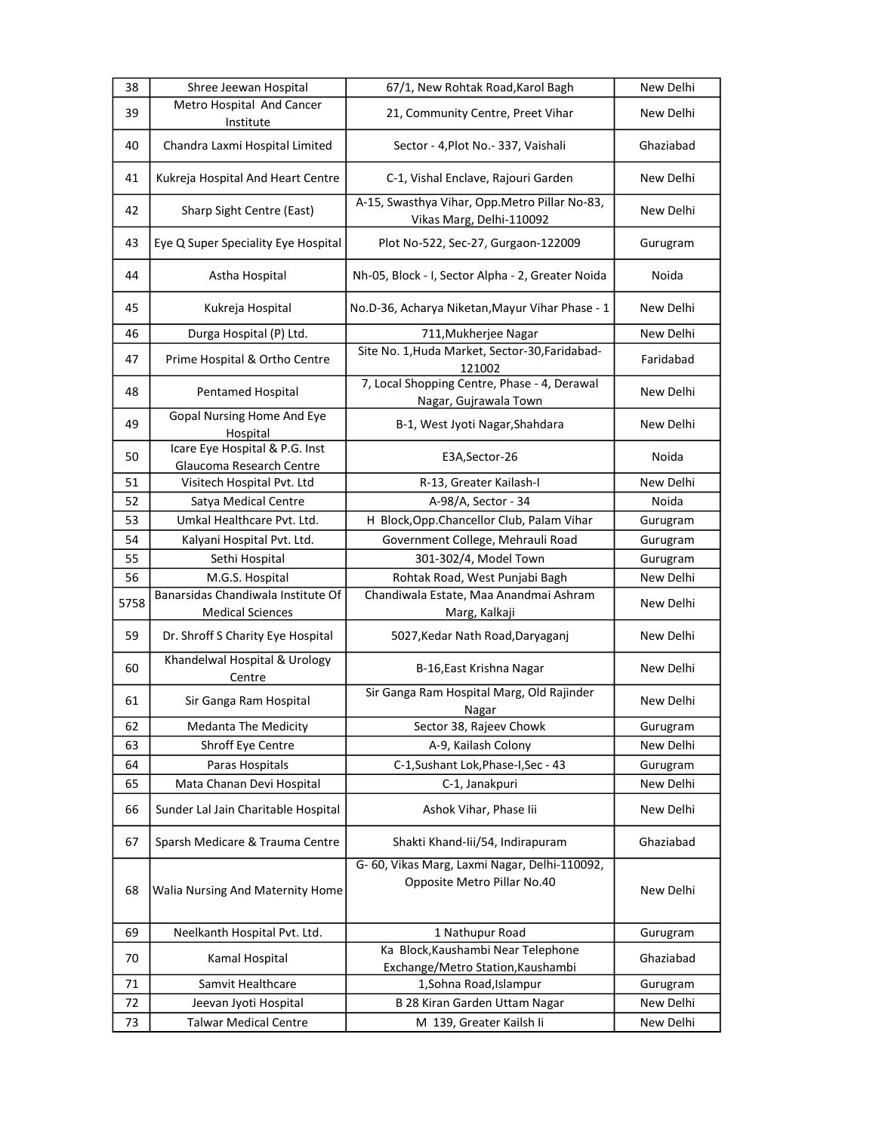| 38   | Shree Jeewan Hospital                                         | 67/1, New Rohtak Road, Karol Bagh                                            | New Delhi |
|------|---------------------------------------------------------------|------------------------------------------------------------------------------|-----------|
| 39   | Metro Hospital And Cancer<br>Institute                        | 21, Community Centre, Preet Vihar                                            | New Delhi |
| 40   | Chandra Laxmi Hospital Limited                                | Sector - 4, Plot No. - 337, Vaishali                                         | Ghaziabad |
| 41   | Kukreja Hospital And Heart Centre                             | C-1, Vishal Enclave, Rajouri Garden                                          | New Delhi |
| 42   | Sharp Sight Centre (East)                                     | A-15, Swasthya Vihar, Opp.Metro Pillar No-83,<br>Vikas Marg, Delhi-110092    | New Delhi |
| 43   | Eye Q Super Speciality Eye Hospital                           | Plot No-522, Sec-27, Gurgaon-122009                                          | Gurugram  |
| 44   | Astha Hospital                                                | Nh-05, Block - I, Sector Alpha - 2, Greater Noida                            | Noida     |
| 45   | Kukreja Hospital                                              | No.D-36, Acharya Niketan, Mayur Vihar Phase - 1                              | New Delhi |
| 46   | Durga Hospital (P) Ltd.                                       | 711, Mukherjee Nagar                                                         | New Delhi |
| 47   | Prime Hospital & Ortho Centre                                 | Site No. 1, Huda Market, Sector-30, Faridabad-<br>121002                     | Faridabad |
| 48   | Pentamed Hospital                                             | 7, Local Shopping Centre, Phase - 4, Derawal<br>Nagar, Gujrawala Town        | New Delhi |
| 49   | Gopal Nursing Home And Eye<br>Hospital                        | B-1, West Jyoti Nagar, Shahdara                                              | New Delhi |
| 50   | Icare Eye Hospital & P.G. Inst<br>Glaucoma Research Centre    | E3A, Sector-26                                                               | Noida     |
| 51   | Visitech Hospital Pvt. Ltd                                    | R-13, Greater Kailash-I                                                      | New Delhi |
| 52   | Satya Medical Centre                                          | A-98/A, Sector - 34                                                          | Noida     |
| 53   | Umkal Healthcare Pvt. Ltd.                                    | H Block, Opp. Chancellor Club, Palam Vihar                                   | Gurugram  |
| 54   | Kalyani Hospital Pvt. Ltd.                                    | Government College, Mehrauli Road                                            | Gurugram  |
| 55   | Sethi Hospital                                                | 301-302/4, Model Town                                                        | Gurugram  |
| 56   | M.G.S. Hospital                                               | Rohtak Road, West Punjabi Bagh                                               | New Delhi |
| 5758 | Banarsidas Chandiwala Institute Of<br><b>Medical Sciences</b> | Chandiwala Estate, Maa Anandmai Ashram<br>Marg, Kalkaji                      | New Delhi |
| 59   | Dr. Shroff S Charity Eye Hospital                             | 5027, Kedar Nath Road, Daryaganj                                             | New Delhi |
| 60   | Khandelwal Hospital & Urology<br>Centre                       | B-16, East Krishna Nagar                                                     | New Delhi |
| 61   | Sir Ganga Ram Hospital                                        | Sir Ganga Ram Hospital Marg, Old Rajinder<br>Nagar                           | New Delhi |
| 62   | <b>Medanta The Medicity</b>                                   | Sector 38, Rajeev Chowk                                                      | Gurugram  |
| 63   | Shroff Eye Centre                                             | A-9, Kailash Colony                                                          | New Delhi |
| 64   | Paras Hospitals                                               | C-1, Sushant Lok, Phase-I, Sec - 43                                          | Gurugram  |
| 65   | Mata Chanan Devi Hospital                                     | C-1, Janakpuri                                                               | New Delhi |
| 66   | Sunder Lal Jain Charitable Hospital                           | Ashok Vihar, Phase lii                                                       | New Delhi |
| 67   | Sparsh Medicare & Trauma Centre                               | Shakti Khand-lii/54, Indirapuram                                             | Ghaziabad |
| 68   | Walia Nursing And Maternity Home                              | G- 60, Vikas Marg, Laxmi Nagar, Delhi-110092,<br>Opposite Metro Pillar No.40 | New Delhi |
| 69   | Neelkanth Hospital Pvt. Ltd.                                  | 1 Nathupur Road                                                              | Gurugram  |
| 70   | Kamal Hospital                                                | Ka Block, Kaushambi Near Telephone<br>Exchange/Metro Station, Kaushambi      | Ghaziabad |
| 71   | Samvit Healthcare                                             | 1, Sohna Road, Islampur                                                      | Gurugram  |
| 72   | Jeevan Jyoti Hospital                                         | B 28 Kiran Garden Uttam Nagar                                                | New Delhi |
| 73   | <b>Talwar Medical Centre</b>                                  | M 139, Greater Kailsh li                                                     | New Delhi |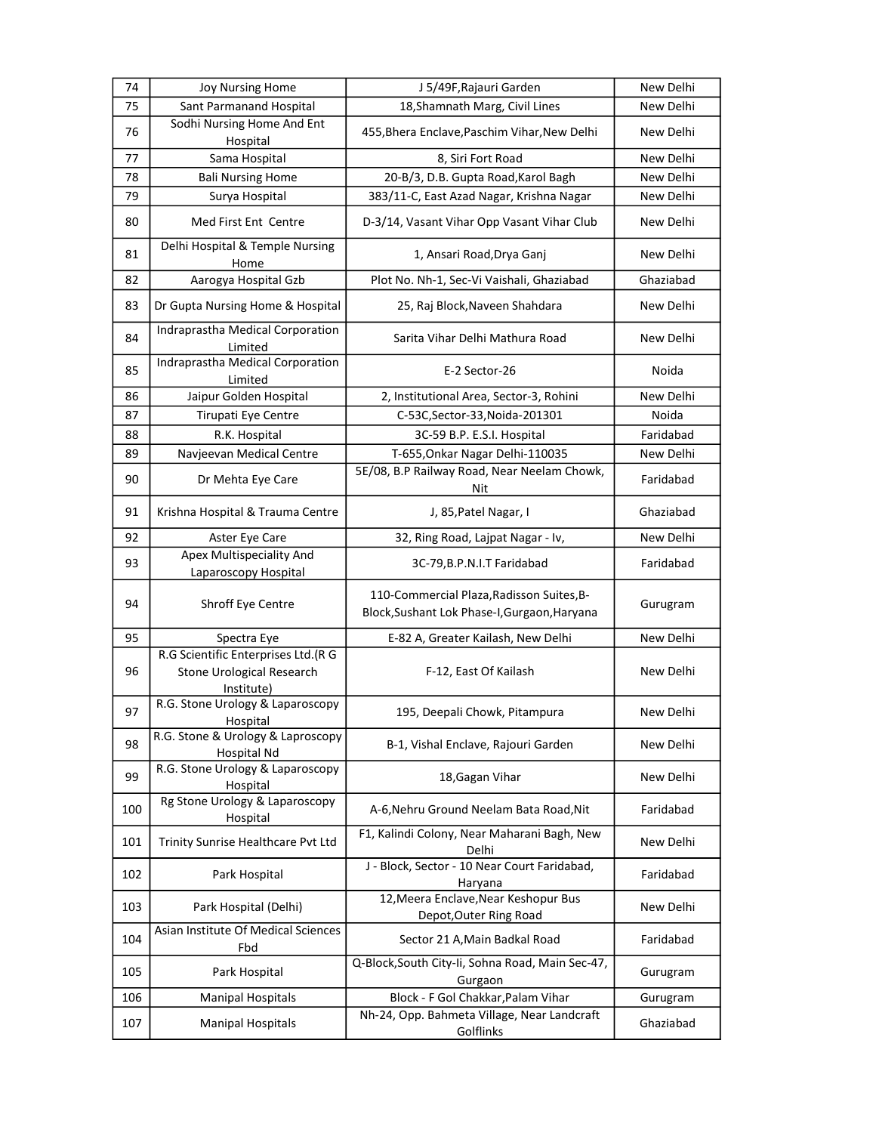| 74  | <b>Joy Nursing Home</b>                                                               | J 5/49F, Rajauri Garden                                                                   | New Delhi |
|-----|---------------------------------------------------------------------------------------|-------------------------------------------------------------------------------------------|-----------|
| 75  | Sant Parmanand Hospital                                                               | 18, Shamnath Marg, Civil Lines                                                            | New Delhi |
| 76  | Sodhi Nursing Home And Ent<br>Hospital                                                | 455, Bhera Enclave, Paschim Vihar, New Delhi                                              | New Delhi |
| 77  | Sama Hospital                                                                         | 8, Siri Fort Road                                                                         | New Delhi |
| 78  | <b>Bali Nursing Home</b>                                                              | 20-B/3, D.B. Gupta Road, Karol Bagh                                                       | New Delhi |
| 79  | Surya Hospital                                                                        | 383/11-C, East Azad Nagar, Krishna Nagar                                                  | New Delhi |
| 80  | Med First Ent Centre                                                                  | D-3/14, Vasant Vihar Opp Vasant Vihar Club                                                | New Delhi |
| 81  | Delhi Hospital & Temple Nursing<br>Home                                               | 1, Ansari Road, Drya Ganj                                                                 | New Delhi |
| 82  | Aarogya Hospital Gzb                                                                  | Plot No. Nh-1, Sec-Vi Vaishali, Ghaziabad                                                 | Ghaziabad |
| 83  | Dr Gupta Nursing Home & Hospital                                                      | 25, Raj Block, Naveen Shahdara                                                            | New Delhi |
| 84  | Indraprastha Medical Corporation<br>Limited                                           | Sarita Vihar Delhi Mathura Road                                                           | New Delhi |
| 85  | Indraprastha Medical Corporation<br>Limited                                           | E-2 Sector-26                                                                             | Noida     |
| 86  | Jaipur Golden Hospital                                                                | 2, Institutional Area, Sector-3, Rohini                                                   | New Delhi |
| 87  | Tirupati Eye Centre                                                                   | C-53C, Sector-33, Noida-201301                                                            | Noida     |
| 88  | R.K. Hospital                                                                         | 3C-59 B.P. E.S.I. Hospital                                                                | Faridabad |
| 89  | Navjeevan Medical Centre                                                              | T-655, Onkar Nagar Delhi-110035                                                           | New Delhi |
| 90  | Dr Mehta Eye Care                                                                     | 5E/08, B.P Railway Road, Near Neelam Chowk,<br>Nit                                        | Faridabad |
| 91  | Krishna Hospital & Trauma Centre                                                      | J, 85, Patel Nagar, I                                                                     | Ghaziabad |
| 92  | Aster Eye Care                                                                        | 32, Ring Road, Lajpat Nagar - Iv,                                                         | New Delhi |
| 93  | Apex Multispeciality And<br>Laparoscopy Hospital                                      | 3C-79, B.P.N.I.T Faridabad                                                                | Faridabad |
| 94  | Shroff Eye Centre                                                                     | 110-Commercial Plaza, Radisson Suites, B-<br>Block, Sushant Lok Phase-I, Gurgaon, Haryana | Gurugram  |
| 95  | Spectra Eye                                                                           | E-82 A, Greater Kailash, New Delhi                                                        | New Delhi |
| 96  | R.G Scientific Enterprises Ltd.(R G<br><b>Stone Urological Research</b><br>Institute) | F-12, East Of Kailash                                                                     | New Delhi |
| 97  | R.G. Stone Urology & Laparoscopy<br>Hospital                                          | 195, Deepali Chowk, Pitampura                                                             | New Delhi |
| 98  | R.G. Stone & Urology & Laproscopy<br>Hospital Nd                                      | B-1, Vishal Enclave, Rajouri Garden                                                       | New Delhi |
| 99  | R.G. Stone Urology & Laparoscopy<br>Hospital                                          | 18, Gagan Vihar                                                                           | New Delhi |
| 100 | Rg Stone Urology & Laparoscopy<br>Hospital                                            | A-6, Nehru Ground Neelam Bata Road, Nit                                                   | Faridabad |
| 101 | Trinity Sunrise Healthcare Pvt Ltd                                                    | F1, Kalindi Colony, Near Maharani Bagh, New<br>Delhi                                      | New Delhi |
| 102 | Park Hospital                                                                         | J - Block, Sector - 10 Near Court Faridabad,<br>Haryana                                   | Faridabad |
| 103 | Park Hospital (Delhi)                                                                 | 12, Meera Enclave, Near Keshopur Bus<br>Depot, Outer Ring Road                            | New Delhi |
| 104 | Asian Institute Of Medical Sciences<br>Fbd                                            | Sector 21 A, Main Badkal Road                                                             | Faridabad |
| 105 | Park Hospital                                                                         | Q-Block, South City-Ii, Sohna Road, Main Sec-47,<br>Gurgaon                               | Gurugram  |
| 106 | <b>Manipal Hospitals</b>                                                              | Block - F Gol Chakkar, Palam Vihar                                                        | Gurugram  |
| 107 | <b>Manipal Hospitals</b>                                                              | Nh-24, Opp. Bahmeta Village, Near Landcraft<br>Golflinks                                  | Ghaziabad |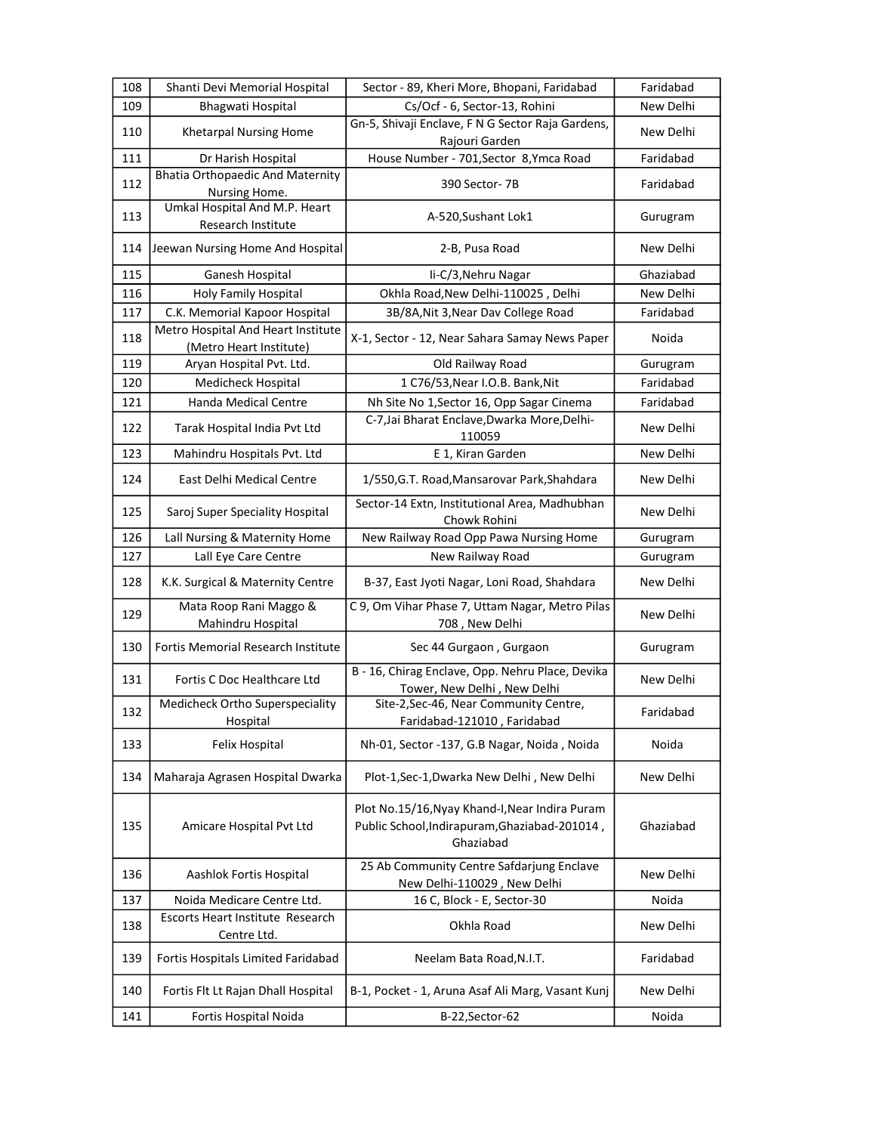| 108 | Shanti Devi Memorial Hospital                                 | Sector - 89, Kheri More, Bhopani, Faridabad                                                                  | Faridabad |
|-----|---------------------------------------------------------------|--------------------------------------------------------------------------------------------------------------|-----------|
| 109 | Bhagwati Hospital                                             | Cs/Ocf - 6, Sector-13, Rohini                                                                                | New Delhi |
| 110 | Khetarpal Nursing Home                                        | Gn-5, Shivaji Enclave, F N G Sector Raja Gardens,<br>Rajouri Garden                                          | New Delhi |
| 111 | Dr Harish Hospital                                            | House Number - 701, Sector 8, Ymca Road                                                                      | Faridabad |
| 112 | <b>Bhatia Orthopaedic And Maternity</b><br>Nursing Home.      | 390 Sector-7B                                                                                                | Faridabad |
| 113 | Umkal Hospital And M.P. Heart<br>Research Institute           | A-520, Sushant Lok1                                                                                          | Gurugram  |
| 114 | Jeewan Nursing Home And Hospital                              | 2-B, Pusa Road                                                                                               | New Delhi |
| 115 | Ganesh Hospital                                               | li-C/3, Nehru Nagar                                                                                          | Ghaziabad |
| 116 | Holy Family Hospital                                          | Okhla Road, New Delhi-110025, Delhi                                                                          | New Delhi |
| 117 | C.K. Memorial Kapoor Hospital                                 | 3B/8A, Nit 3, Near Dav College Road                                                                          | Faridabad |
| 118 | Metro Hospital And Heart Institute<br>(Metro Heart Institute) | X-1, Sector - 12, Near Sahara Samay News Paper                                                               | Noida     |
| 119 | Aryan Hospital Pvt. Ltd.                                      | Old Railway Road                                                                                             | Gurugram  |
| 120 | Medicheck Hospital                                            | 1 C76/53, Near I.O.B. Bank, Nit                                                                              | Faridabad |
| 121 | <b>Handa Medical Centre</b>                                   | Nh Site No 1, Sector 16, Opp Sagar Cinema                                                                    | Faridabad |
| 122 | Tarak Hospital India Pvt Ltd                                  | C-7, Jai Bharat Enclave, Dwarka More, Delhi-<br>110059                                                       | New Delhi |
| 123 | Mahindru Hospitals Pvt. Ltd                                   | E 1, Kiran Garden                                                                                            | New Delhi |
| 124 | East Delhi Medical Centre                                     | 1/550, G.T. Road, Mansarovar Park, Shahdara                                                                  | New Delhi |
| 125 | Saroj Super Speciality Hospital                               | Sector-14 Extn, Institutional Area, Madhubhan<br>Chowk Rohini                                                | New Delhi |
| 126 | Lall Nursing & Maternity Home                                 | New Railway Road Opp Pawa Nursing Home                                                                       | Gurugram  |
| 127 | Lall Eye Care Centre                                          | New Railway Road                                                                                             | Gurugram  |
| 128 | K.K. Surgical & Maternity Centre                              | B-37, East Jyoti Nagar, Loni Road, Shahdara                                                                  | New Delhi |
| 129 | Mata Roop Rani Maggo &<br>Mahindru Hospital                   | C 9, Om Vihar Phase 7, Uttam Nagar, Metro Pilas<br>708, New Delhi                                            | New Delhi |
| 130 | <b>Fortis Memorial Research Institute</b>                     | Sec 44 Gurgaon, Gurgaon                                                                                      | Gurugram  |
| 131 | Fortis C Doc Healthcare Ltd                                   | B - 16, Chirag Enclave, Opp. Nehru Place, Devika<br>Tower, New Delhi, New Delhi                              | New Delhi |
| 132 | Medicheck Ortho Superspeciality<br>Hospital                   | Site-2, Sec-46, Near Community Centre,<br>Faridabad-121010, Faridabad                                        | Faridabad |
| 133 | Felix Hospital                                                | Nh-01, Sector -137, G.B Nagar, Noida, Noida                                                                  | Noida     |
| 134 | Maharaja Agrasen Hospital Dwarka                              | Plot-1, Sec-1, Dwarka New Delhi, New Delhi                                                                   | New Delhi |
| 135 | Amicare Hospital Pvt Ltd                                      | Plot No.15/16, Nyay Khand-I, Near Indira Puram<br>Public School, Indirapuram, Ghaziabad-201014,<br>Ghaziabad | Ghaziabad |
| 136 | Aashlok Fortis Hospital                                       | 25 Ab Community Centre Safdarjung Enclave<br>New Delhi-110029, New Delhi                                     | New Delhi |
| 137 | Noida Medicare Centre Ltd.                                    | 16 C, Block - E, Sector-30                                                                                   | Noida     |
| 138 | Escorts Heart Institute Research<br>Centre Ltd.               | Okhla Road                                                                                                   | New Delhi |
| 139 | Fortis Hospitals Limited Faridabad                            | Neelam Bata Road, N.I.T.                                                                                     | Faridabad |
| 140 | Fortis Flt Lt Rajan Dhall Hospital                            | B-1, Pocket - 1, Aruna Asaf Ali Marg, Vasant Kunj                                                            | New Delhi |
| 141 | Fortis Hospital Noida                                         | B-22, Sector-62                                                                                              | Noida     |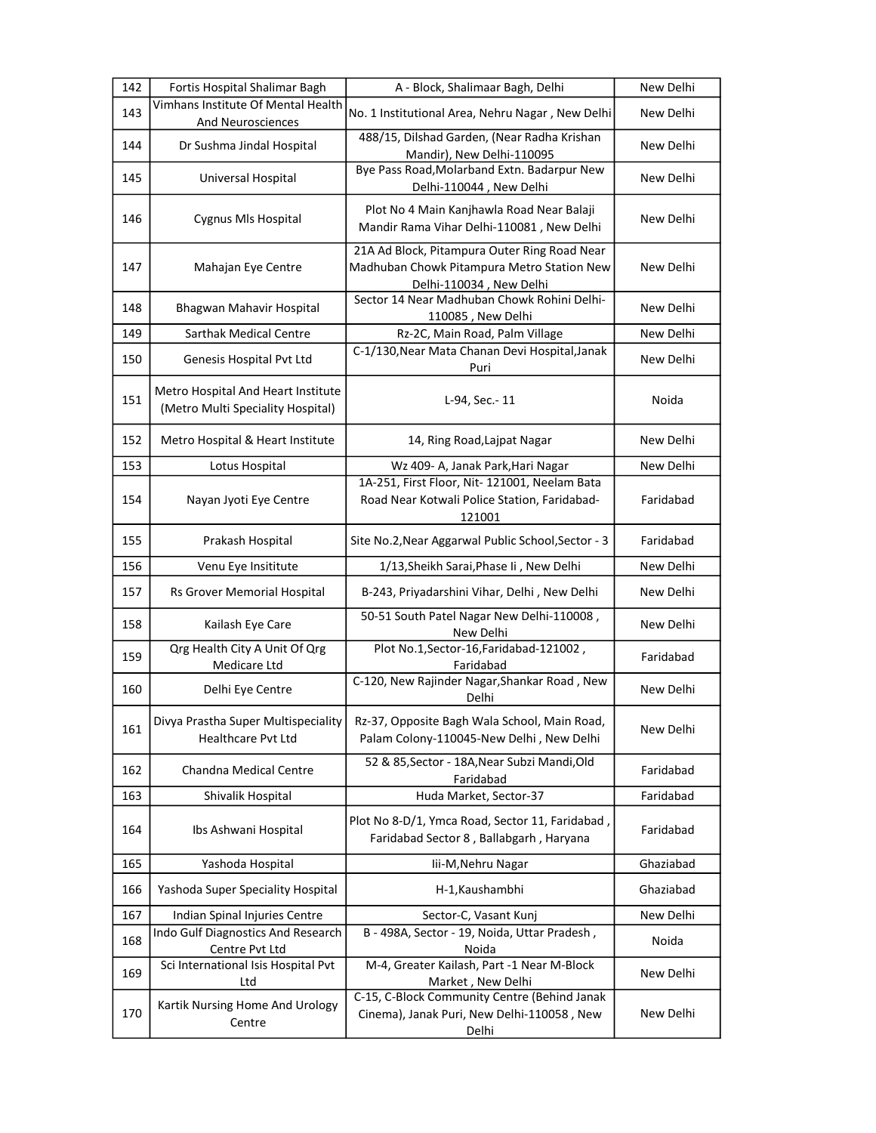| 142 | Fortis Hospital Shalimar Bagh                                           | A - Block, Shalimaar Bagh, Delhi                                                                                      | New Delhi |
|-----|-------------------------------------------------------------------------|-----------------------------------------------------------------------------------------------------------------------|-----------|
| 143 | Vimhans Institute Of Mental Health<br>And Neurosciences                 | No. 1 Institutional Area, Nehru Nagar, New Delhi                                                                      | New Delhi |
| 144 | Dr Sushma Jindal Hospital                                               | 488/15, Dilshad Garden, (Near Radha Krishan<br>Mandir), New Delhi-110095                                              | New Delhi |
| 145 | Universal Hospital                                                      | Bye Pass Road, Molarband Extn. Badarpur New<br>Delhi-110044, New Delhi                                                | New Delhi |
| 146 | Cygnus MIs Hospital                                                     | Plot No 4 Main Kanjhawla Road Near Balaji<br>Mandir Rama Vihar Delhi-110081, New Delhi                                | New Delhi |
| 147 | Mahajan Eye Centre                                                      | 21A Ad Block, Pitampura Outer Ring Road Near<br>Madhuban Chowk Pitampura Metro Station New<br>Delhi-110034, New Delhi | New Delhi |
| 148 | Bhagwan Mahavir Hospital                                                | Sector 14 Near Madhuban Chowk Rohini Delhi-<br>110085, New Delhi                                                      | New Delhi |
| 149 | <b>Sarthak Medical Centre</b>                                           | Rz-2C, Main Road, Palm Village                                                                                        | New Delhi |
| 150 | Genesis Hospital Pvt Ltd                                                | C-1/130, Near Mata Chanan Devi Hospital, Janak<br>Puri                                                                | New Delhi |
| 151 | Metro Hospital And Heart Institute<br>(Metro Multi Speciality Hospital) | L-94, Sec.- 11                                                                                                        | Noida     |
| 152 | Metro Hospital & Heart Institute                                        | 14, Ring Road, Lajpat Nagar                                                                                           | New Delhi |
| 153 | Lotus Hospital                                                          | Wz 409- A, Janak Park, Hari Nagar                                                                                     | New Delhi |
| 154 | Nayan Jyoti Eye Centre                                                  | 1A-251, First Floor, Nit-121001, Neelam Bata<br>Road Near Kotwali Police Station, Faridabad-<br>121001                | Faridabad |
| 155 | Prakash Hospital                                                        | Site No.2, Near Aggarwal Public School, Sector - 3                                                                    | Faridabad |
| 156 | Venu Eye Insititute                                                     | 1/13, Sheikh Sarai, Phase Ii, New Delhi                                                                               | New Delhi |
| 157 | Rs Grover Memorial Hospital                                             | B-243, Priyadarshini Vihar, Delhi, New Delhi                                                                          | New Delhi |
| 158 | Kailash Eye Care                                                        | 50-51 South Patel Nagar New Delhi-110008,<br>New Delhi                                                                | New Delhi |
| 159 | Qrg Health City A Unit Of Qrg<br>Medicare Ltd                           | Plot No.1, Sector-16, Faridabad-121002,<br>Faridabad                                                                  | Faridabad |
| 160 | Delhi Eye Centre                                                        | C-120, New Rajinder Nagar, Shankar Road, New<br>Delhi                                                                 | New Delhi |
| 161 | Divya Prastha Super Multispeciality<br><b>Healthcare Pvt Ltd</b>        | Rz-37, Opposite Bagh Wala School, Main Road,<br>Palam Colony-110045-New Delhi, New Delhi                              | New Delhi |
| 162 | Chandna Medical Centre                                                  | 52 & 85, Sector - 18A, Near Subzi Mandi, Old<br>Faridabad                                                             | Faridabad |
| 163 | Shivalik Hospital                                                       | Huda Market, Sector-37                                                                                                | Faridabad |
| 164 | Ibs Ashwani Hospital                                                    | Plot No 8-D/1, Ymca Road, Sector 11, Faridabad,<br>Faridabad Sector 8, Ballabgarh, Haryana                            | Faridabad |
| 165 | Yashoda Hospital                                                        | lii-M, Nehru Nagar                                                                                                    | Ghaziabad |
| 166 | Yashoda Super Speciality Hospital                                       | H-1, Kaushambhi                                                                                                       | Ghaziabad |
| 167 | Indian Spinal Injuries Centre                                           | Sector-C, Vasant Kunj                                                                                                 | New Delhi |
| 168 | Indo Gulf Diagnostics And Research<br>Centre Pvt Ltd                    | B - 498A, Sector - 19, Noida, Uttar Pradesh,<br>Noida                                                                 | Noida     |
| 169 | Sci International Isis Hospital Pvt<br>Ltd                              | M-4, Greater Kailash, Part -1 Near M-Block<br>Market, New Delhi                                                       | New Delhi |
| 170 | Kartik Nursing Home And Urology<br>Centre                               | C-15, C-Block Community Centre (Behind Janak<br>Cinema), Janak Puri, New Delhi-110058, New<br>Delhi                   | New Delhi |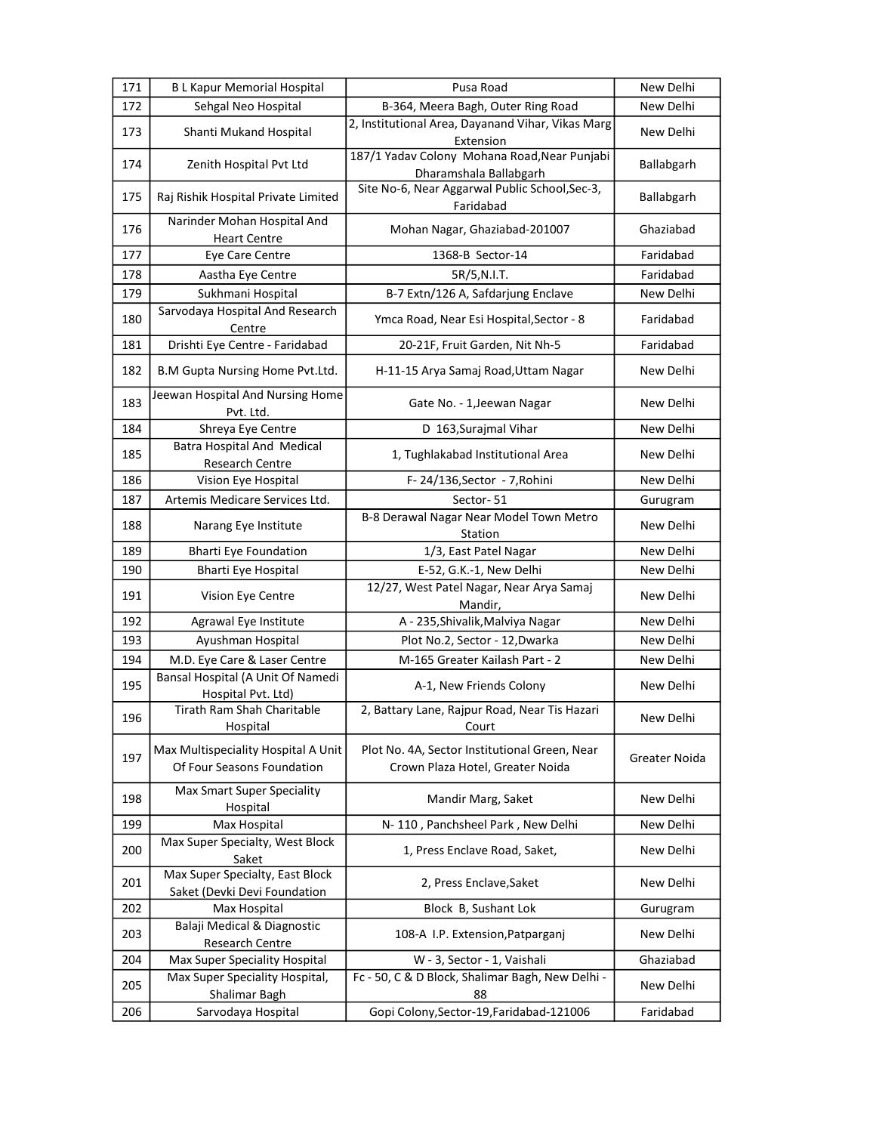| 171 | <b>BL Kapur Memorial Hospital</b>                                 | Pusa Road                                                                         | New Delhi     |
|-----|-------------------------------------------------------------------|-----------------------------------------------------------------------------------|---------------|
| 172 | Sehgal Neo Hospital                                               | B-364, Meera Bagh, Outer Ring Road                                                | New Delhi     |
| 173 | Shanti Mukand Hospital                                            | 2, Institutional Area, Dayanand Vihar, Vikas Marg<br>Extension                    | New Delhi     |
| 174 | Zenith Hospital Pvt Ltd                                           | 187/1 Yadav Colony Mohana Road, Near Punjabi<br>Dharamshala Ballabgarh            | Ballabgarh    |
| 175 | Raj Rishik Hospital Private Limited                               | Site No-6, Near Aggarwal Public School, Sec-3,<br>Faridabad                       | Ballabgarh    |
| 176 | Narinder Mohan Hospital And<br><b>Heart Centre</b>                | Mohan Nagar, Ghaziabad-201007                                                     | Ghaziabad     |
| 177 | Eye Care Centre                                                   | 1368-B Sector-14                                                                  | Faridabad     |
| 178 | Aastha Eye Centre                                                 | 5R/5, N.I.T.                                                                      | Faridabad     |
| 179 | Sukhmani Hospital                                                 | B-7 Extn/126 A, Safdarjung Enclave                                                | New Delhi     |
| 180 | Sarvodaya Hospital And Research<br>Centre                         | Ymca Road, Near Esi Hospital, Sector - 8                                          | Faridabad     |
| 181 | Drishti Eye Centre - Faridabad                                    | 20-21F, Fruit Garden, Nit Nh-5                                                    | Faridabad     |
| 182 | B.M Gupta Nursing Home Pvt.Ltd.                                   | H-11-15 Arya Samaj Road, Uttam Nagar                                              | New Delhi     |
| 183 | Jeewan Hospital And Nursing Home<br>Pvt. Ltd.                     | Gate No. - 1, Jeewan Nagar                                                        | New Delhi     |
| 184 | Shreya Eye Centre                                                 | D 163, Surajmal Vihar                                                             | New Delhi     |
| 185 | <b>Batra Hospital And Medical</b><br>Research Centre              | 1, Tughlakabad Institutional Area                                                 | New Delhi     |
| 186 | Vision Eye Hospital                                               | F-24/136, Sector - 7, Rohini                                                      | New Delhi     |
| 187 | Artemis Medicare Services Ltd.                                    | Sector-51                                                                         | Gurugram      |
| 188 | Narang Eye Institute                                              | B-8 Derawal Nagar Near Model Town Metro<br>Station                                | New Delhi     |
| 189 | <b>Bharti Eye Foundation</b>                                      | 1/3, East Patel Nagar                                                             | New Delhi     |
| 190 | <b>Bharti Eye Hospital</b>                                        | E-52, G.K.-1, New Delhi                                                           | New Delhi     |
| 191 | Vision Eye Centre                                                 | 12/27, West Patel Nagar, Near Arya Samaj<br>Mandir,                               | New Delhi     |
| 192 | Agrawal Eye Institute                                             | A - 235, Shivalik, Malviya Nagar                                                  | New Delhi     |
| 193 | Ayushman Hospital                                                 | Plot No.2, Sector - 12, Dwarka                                                    | New Delhi     |
| 194 | M.D. Eye Care & Laser Centre                                      | M-165 Greater Kailash Part - 2                                                    | New Delhi     |
| 195 | Bansal Hospital (A Unit Of Namedi<br>Hospital Pvt. Ltd)           | A-1, New Friends Colony                                                           | New Delhi     |
| 196 | Tirath Ram Shah Charitable<br>Hospital                            | 2, Battary Lane, Rajpur Road, Near Tis Hazari<br>Court                            | New Delhi     |
| 197 | Max Multispeciality Hospital A Unit<br>Of Four Seasons Foundation | Plot No. 4A, Sector Institutional Green, Near<br>Crown Plaza Hotel, Greater Noida | Greater Noida |
| 198 | Max Smart Super Speciality<br>Hospital                            | Mandir Marg, Saket                                                                | New Delhi     |
| 199 | Max Hospital                                                      | N-110, Panchsheel Park, New Delhi                                                 | New Delhi     |
| 200 | Max Super Specialty, West Block<br>Saket                          | 1, Press Enclave Road, Saket,                                                     | New Delhi     |
| 201 | Max Super Specialty, East Block<br>Saket (Devki Devi Foundation   | 2, Press Enclave, Saket                                                           | New Delhi     |
| 202 | Max Hospital                                                      | Block B, Sushant Lok                                                              | Gurugram      |
| 203 | Balaji Medical & Diagnostic<br>Research Centre                    | 108-A I.P. Extension, Patparganj                                                  | New Delhi     |
| 204 | Max Super Speciality Hospital                                     | W - 3, Sector - 1, Vaishali                                                       | Ghaziabad     |
| 205 | Max Super Speciality Hospital,<br>Shalimar Bagh                   | Fc - 50, C & D Block, Shalimar Bagh, New Delhi -<br>88                            | New Delhi     |
| 206 | Sarvodaya Hospital                                                | Gopi Colony, Sector-19, Faridabad-121006                                          | Faridabad     |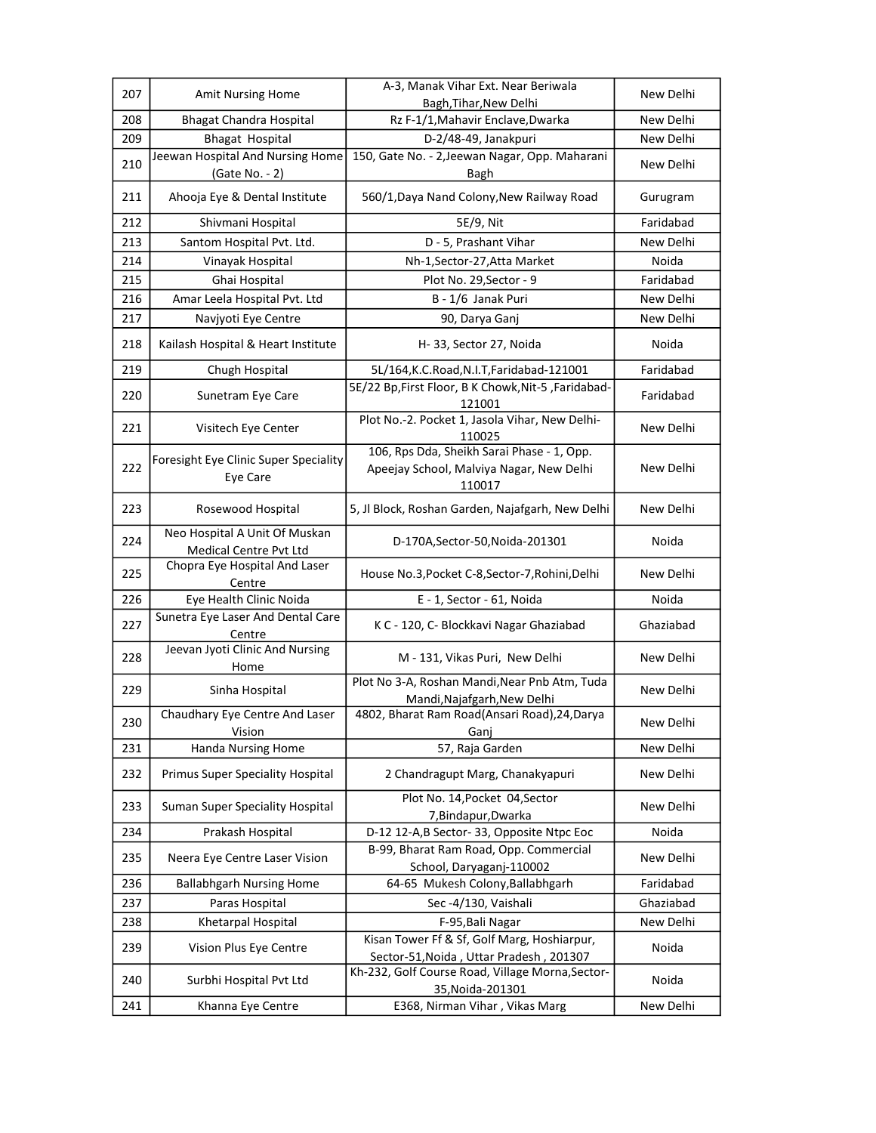| 207 | Amit Nursing Home                                              | A-3, Manak Vihar Ext. Near Beriwala                                          | New Delhi |
|-----|----------------------------------------------------------------|------------------------------------------------------------------------------|-----------|
|     |                                                                | Bagh, Tihar, New Delhi                                                       |           |
| 208 | <b>Bhagat Chandra Hospital</b>                                 | Rz F-1/1, Mahavir Enclave, Dwarka                                            | New Delhi |
| 209 | <b>Bhagat Hospital</b><br>Jeewan Hospital And Nursing Home     | D-2/48-49, Janakpuri<br>150, Gate No. - 2, Jeewan Nagar, Opp. Maharani       | New Delhi |
| 210 | (Gate No. - 2)                                                 | Bagh                                                                         | New Delhi |
| 211 | Ahooja Eye & Dental Institute                                  | 560/1, Daya Nand Colony, New Railway Road                                    | Gurugram  |
| 212 | Shivmani Hospital                                              | 5E/9, Nit                                                                    | Faridabad |
| 213 | Santom Hospital Pvt. Ltd.                                      | D - 5, Prashant Vihar                                                        | New Delhi |
| 214 | Vinayak Hospital                                               | Nh-1, Sector-27, Atta Market                                                 | Noida     |
| 215 | Ghai Hospital                                                  | Plot No. 29, Sector - 9                                                      | Faridabad |
| 216 | Amar Leela Hospital Pvt. Ltd                                   | B - 1/6 Janak Puri                                                           | New Delhi |
| 217 | Navjyoti Eye Centre                                            | 90, Darya Ganj                                                               | New Delhi |
| 218 | Kailash Hospital & Heart Institute                             | H-33, Sector 27, Noida                                                       | Noida     |
| 219 | Chugh Hospital                                                 | 5L/164, K.C. Road, N.I.T, Faridabad-121001                                   | Faridabad |
| 220 | Sunetram Eye Care                                              | 5E/22 Bp, First Floor, B K Chowk, Nit-5, Faridabad-<br>121001                | Faridabad |
| 221 | Visitech Eye Center                                            | Plot No.-2. Pocket 1, Jasola Vihar, New Delhi-<br>110025                     | New Delhi |
|     | Foresight Eye Clinic Super Speciality                          | 106, Rps Dda, Sheikh Sarai Phase - 1, Opp.                                   |           |
| 222 | Eye Care                                                       | Apeejay School, Malviya Nagar, New Delhi<br>110017                           | New Delhi |
| 223 | Rosewood Hospital                                              | 5, Jl Block, Roshan Garden, Najafgarh, New Delhi                             | New Delhi |
| 224 | Neo Hospital A Unit Of Muskan<br><b>Medical Centre Pvt Ltd</b> | D-170A, Sector-50, Noida-201301                                              | Noida     |
| 225 | Chopra Eye Hospital And Laser<br>Centre                        | House No.3, Pocket C-8, Sector-7, Rohini, Delhi                              | New Delhi |
| 226 | Eye Health Clinic Noida                                        | E - 1, Sector - 61, Noida                                                    | Noida     |
| 227 | Sunetra Eye Laser And Dental Care<br>Centre                    | K C - 120, C- Blockkavi Nagar Ghaziabad                                      | Ghaziabad |
| 228 | Jeevan Jyoti Clinic And Nursing<br>Home                        | M - 131, Vikas Puri, New Delhi                                               | New Delhi |
| 229 | Sinha Hospital                                                 | Plot No 3-A, Roshan Mandi, Near Pnb Atm, Tuda<br>Mandi, Najafgarh, New Delhi | New Delhi |
| 230 | Chaudhary Eye Centre And Laser<br>Vision                       | 4802, Bharat Ram Road(Ansari Road), 24, Darya<br>Ganj                        | New Delhi |
| 231 | <b>Handa Nursing Home</b>                                      | 57, Raja Garden                                                              | New Delhi |
| 232 | Primus Super Speciality Hospital                               | 2 Chandragupt Marg, Chanakyapuri                                             | New Delhi |
| 233 | <b>Suman Super Speciality Hospital</b>                         | Plot No. 14, Pocket 04, Sector<br>7, Bindapur, Dwarka                        | New Delhi |
| 234 | Prakash Hospital                                               | D-12 12-A,B Sector-33, Opposite Ntpc Eoc                                     | Noida     |
| 235 | Neera Eye Centre Laser Vision                                  | B-99, Bharat Ram Road, Opp. Commercial<br>School, Daryaganj-110002           | New Delhi |
| 236 | <b>Ballabhgarh Nursing Home</b>                                | 64-65 Mukesh Colony, Ballabhgarh                                             | Faridabad |
| 237 | Paras Hospital                                                 | Sec-4/130, Vaishali                                                          | Ghaziabad |
| 238 | Khetarpal Hospital                                             | F-95, Bali Nagar                                                             | New Delhi |
|     |                                                                | Kisan Tower Ff & Sf, Golf Marg, Hoshiarpur,                                  |           |
| 239 | Vision Plus Eye Centre                                         | Sector-51, Noida, Uttar Pradesh, 201307                                      | Noida     |
| 240 | Surbhi Hospital Pvt Ltd                                        | Kh-232, Golf Course Road, Village Morna, Sector-<br>35, Noida-201301         | Noida     |
| 241 | Khanna Eye Centre                                              | E368, Nirman Vihar, Vikas Marg                                               | New Delhi |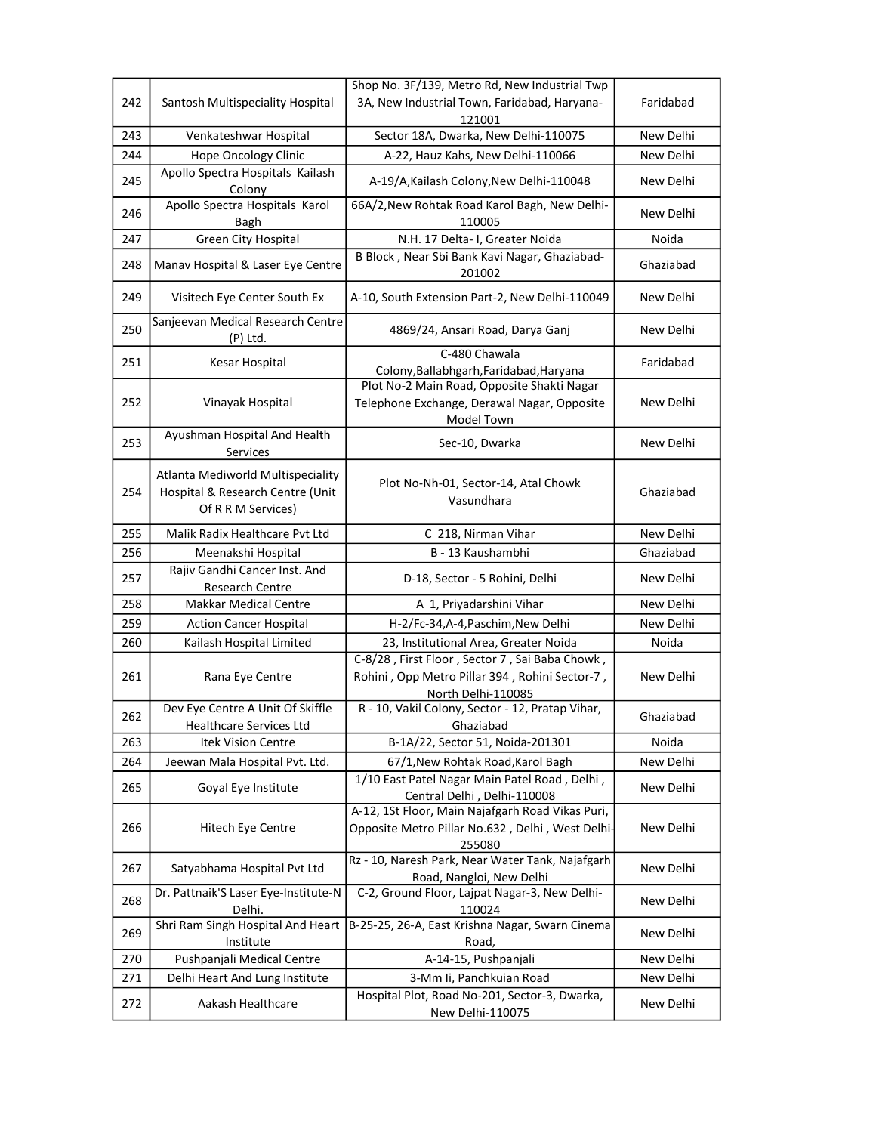|     |                                                                                             | Shop No. 3F/139, Metro Rd, New Industrial Twp                                                                          |           |
|-----|---------------------------------------------------------------------------------------------|------------------------------------------------------------------------------------------------------------------------|-----------|
| 242 | Santosh Multispeciality Hospital                                                            | 3A, New Industrial Town, Faridabad, Haryana-                                                                           | Faridabad |
|     |                                                                                             | 121001                                                                                                                 |           |
| 243 | Venkateshwar Hospital                                                                       | Sector 18A, Dwarka, New Delhi-110075                                                                                   | New Delhi |
| 244 | Hope Oncology Clinic                                                                        | A-22, Hauz Kahs, New Delhi-110066                                                                                      | New Delhi |
| 245 | Apollo Spectra Hospitals Kailash<br>Colony                                                  | A-19/A, Kailash Colony, New Delhi-110048                                                                               | New Delhi |
| 246 | Apollo Spectra Hospitals Karol<br>Bagh                                                      | 66A/2, New Rohtak Road Karol Bagh, New Delhi-<br>110005                                                                | New Delhi |
| 247 | Green City Hospital                                                                         | N.H. 17 Delta- I, Greater Noida                                                                                        | Noida     |
|     |                                                                                             | B Block, Near Sbi Bank Kavi Nagar, Ghaziabad-                                                                          |           |
| 248 | Manav Hospital & Laser Eye Centre                                                           | 201002                                                                                                                 | Ghaziabad |
| 249 | Visitech Eye Center South Ex                                                                | A-10, South Extension Part-2, New Delhi-110049                                                                         | New Delhi |
| 250 | Sanjeevan Medical Research Centre<br>$(P)$ Ltd.                                             | 4869/24, Ansari Road, Darya Ganj                                                                                       | New Delhi |
| 251 | Kesar Hospital                                                                              | C-480 Chawala                                                                                                          | Faridabad |
|     |                                                                                             | Colony, Ballabhgarh, Faridabad, Haryana<br>Plot No-2 Main Road, Opposite Shakti Nagar                                  |           |
| 252 | Vinayak Hospital                                                                            | Telephone Exchange, Derawal Nagar, Opposite                                                                            | New Delhi |
|     |                                                                                             | Model Town                                                                                                             |           |
| 253 | Ayushman Hospital And Health<br>Services                                                    | Sec-10, Dwarka                                                                                                         | New Delhi |
| 254 | Atlanta Mediworld Multispeciality<br>Hospital & Research Centre (Unit<br>Of R R M Services) | Plot No-Nh-01, Sector-14, Atal Chowk<br>Vasundhara                                                                     | Ghaziabad |
| 255 | Malik Radix Healthcare Pvt Ltd                                                              | C 218, Nirman Vihar                                                                                                    | New Delhi |
| 256 | Meenakshi Hospital                                                                          | B - 13 Kaushambhi                                                                                                      | Ghaziabad |
| 257 | Rajiv Gandhi Cancer Inst. And                                                               |                                                                                                                        | New Delhi |
|     | Research Centre                                                                             | D-18, Sector - 5 Rohini, Delhi                                                                                         |           |
| 258 | <b>Makkar Medical Centre</b>                                                                | A 1, Priyadarshini Vihar                                                                                               | New Delhi |
| 259 | <b>Action Cancer Hospital</b>                                                               | H-2/Fc-34,A-4,Paschim,New Delhi                                                                                        | New Delhi |
| 260 | Kailash Hospital Limited                                                                    | 23, Institutional Area, Greater Noida                                                                                  | Noida     |
| 261 | Rana Eye Centre                                                                             | C-8/28, First Floor, Sector 7, Sai Baba Chowk,<br>Rohini, Opp Metro Pillar 394, Rohini Sector-7,<br>North Delhi-110085 | New Delhi |
| 262 | Dev Eye Centre A Unit Of Skiffle<br>Healthcare Services Ltd                                 | R - 10, Vakil Colony, Sector - 12, Pratap Vihar,<br>Ghaziabad                                                          | Ghaziabad |
| 263 | <b>Itek Vision Centre</b>                                                                   | B-1A/22, Sector 51, Noida-201301                                                                                       | Noida     |
| 264 | Jeewan Mala Hospital Pvt. Ltd.                                                              | 67/1, New Rohtak Road, Karol Bagh                                                                                      | New Delhi |
| 265 | Goyal Eye Institute                                                                         | 1/10 East Patel Nagar Main Patel Road, Delhi,<br>Central Delhi , Delhi-110008                                          | New Delhi |
| 266 | Hitech Eye Centre                                                                           | A-12, 1St Floor, Main Najafgarh Road Vikas Puri,<br>Opposite Metro Pillar No.632, Delhi, West Delhi-<br>255080         | New Delhi |
| 267 | Satyabhama Hospital Pvt Ltd                                                                 | Rz - 10, Naresh Park, Near Water Tank, Najafgarh<br>Road, Nangloi, New Delhi                                           | New Delhi |
| 268 | Dr. Pattnaik'S Laser Eye-Institute-N<br>Delhi.                                              | C-2, Ground Floor, Lajpat Nagar-3, New Delhi-<br>110024                                                                | New Delhi |
| 269 | Shri Ram Singh Hospital And Heart<br>Institute                                              | B-25-25, 26-A, East Krishna Nagar, Swarn Cinema<br>Road,                                                               | New Delhi |
| 270 | Pushpanjali Medical Centre                                                                  | A-14-15, Pushpanjali                                                                                                   | New Delhi |
| 271 | Delhi Heart And Lung Institute                                                              | 3-Mm Ii, Panchkuian Road                                                                                               | New Delhi |
| 272 | Aakash Healthcare                                                                           | Hospital Plot, Road No-201, Sector-3, Dwarka,                                                                          | New Delhi |
|     |                                                                                             | New Delhi-110075                                                                                                       |           |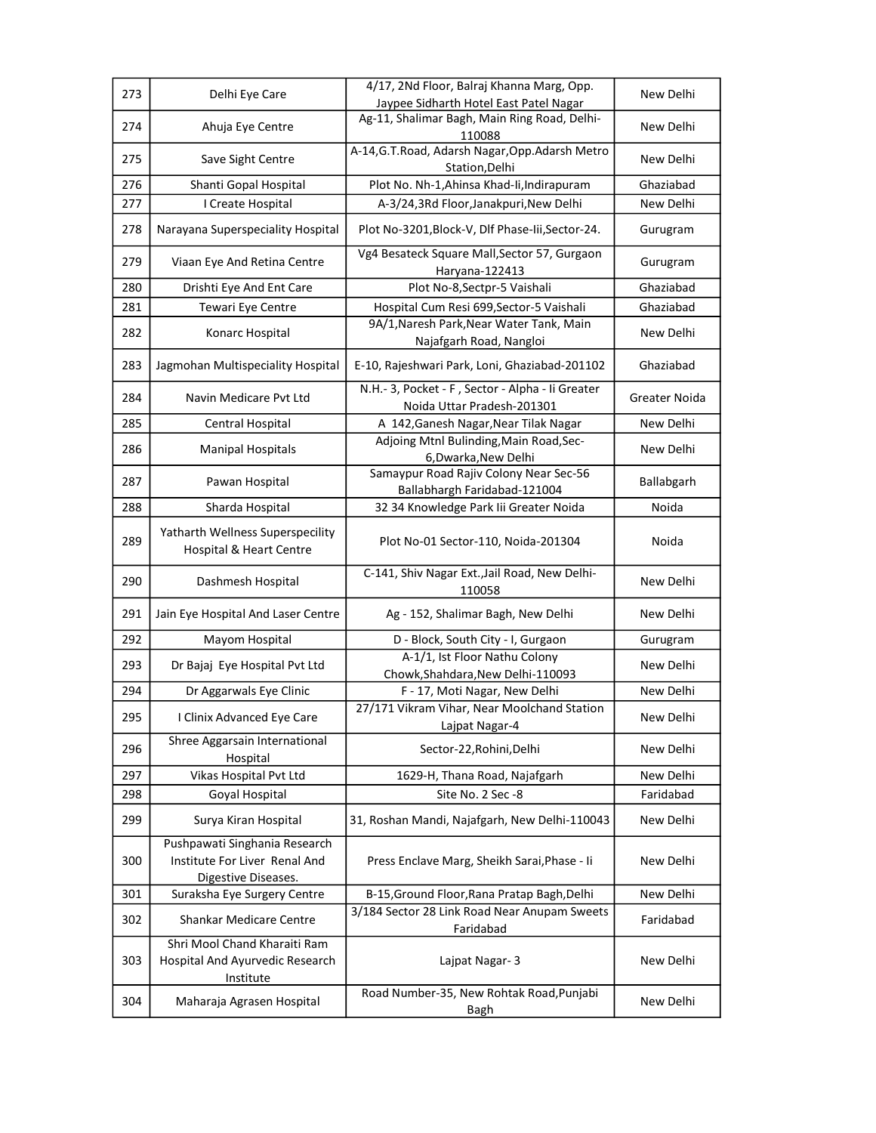| 273 | Delhi Eye Care                                                               | 4/17, 2Nd Floor, Balraj Khanna Marg, Opp.                                              | New Delhi            |
|-----|------------------------------------------------------------------------------|----------------------------------------------------------------------------------------|----------------------|
|     |                                                                              | Jaypee Sidharth Hotel East Patel Nagar<br>Ag-11, Shalimar Bagh, Main Ring Road, Delhi- |                      |
| 274 | Ahuja Eye Centre                                                             | 110088                                                                                 | New Delhi            |
| 275 | Save Sight Centre                                                            | A-14, G.T. Road, Adarsh Nagar, Opp. Adarsh Metro                                       | New Delhi            |
|     |                                                                              | Station, Delhi                                                                         |                      |
| 276 | Shanti Gopal Hospital                                                        | Plot No. Nh-1, Ahinsa Khad-Ii, Indirapuram                                             | Ghaziabad            |
| 277 | I Create Hospital                                                            | A-3/24,3Rd Floor,Janakpuri,New Delhi                                                   | New Delhi            |
| 278 | Narayana Superspeciality Hospital                                            | Plot No-3201, Block-V, Dlf Phase-lii, Sector-24.                                       | Gurugram             |
| 279 | Viaan Eye And Retina Centre                                                  | Vg4 Besateck Square Mall, Sector 57, Gurgaon<br>Haryana-122413                         | Gurugram             |
| 280 | Drishti Eye And Ent Care                                                     | Plot No-8, Sectpr-5 Vaishali                                                           | Ghaziabad            |
| 281 | Tewari Eye Centre                                                            | Hospital Cum Resi 699, Sector-5 Vaishali                                               | Ghaziabad            |
| 282 | Konarc Hospital                                                              | 9A/1, Naresh Park, Near Water Tank, Main<br>Najafgarh Road, Nangloi                    | New Delhi            |
| 283 | Jagmohan Multispeciality Hospital                                            | E-10, Rajeshwari Park, Loni, Ghaziabad-201102                                          | Ghaziabad            |
| 284 | Navin Medicare Pyt Ltd                                                       | N.H.- 3, Pocket - F, Sector - Alpha - Ii Greater<br>Noida Uttar Pradesh-201301         | <b>Greater Noida</b> |
| 285 | Central Hospital                                                             | A 142, Ganesh Nagar, Near Tilak Nagar                                                  | New Delhi            |
| 286 | <b>Manipal Hospitals</b>                                                     | Adjoing Mtnl Bulinding, Main Road, Sec-<br>6, Dwarka, New Delhi                        | New Delhi            |
| 287 | Pawan Hospital                                                               | Samaypur Road Rajiv Colony Near Sec-56<br>Ballabhargh Faridabad-121004                 | Ballabgarh           |
| 288 | Sharda Hospital                                                              | 32 34 Knowledge Park Iii Greater Noida                                                 | Noida                |
| 289 | Yatharth Wellness Superspecility<br>Hospital & Heart Centre                  | Plot No-01 Sector-110, Noida-201304                                                    | Noida                |
| 290 | Dashmesh Hospital                                                            | C-141, Shiv Nagar Ext., Jail Road, New Delhi-<br>110058                                | New Delhi            |
| 291 | Jain Eye Hospital And Laser Centre                                           | Ag - 152, Shalimar Bagh, New Delhi                                                     | New Delhi            |
| 292 | Mayom Hospital                                                               | D - Block, South City - I, Gurgaon                                                     | Gurugram             |
| 293 | Dr Bajaj Eye Hospital Pvt Ltd                                                | A-1/1, Ist Floor Nathu Colony<br>Chowk, Shahdara, New Delhi-110093                     | New Delhi            |
| 294 | Dr Aggarwals Eye Clinic                                                      | F - 17, Moti Nagar, New Delhi                                                          | New Delhi            |
| 295 | I Clinix Advanced Eye Care                                                   | 27/171 Vikram Vihar, Near Moolchand Station<br>Lajpat Nagar-4                          | New Delhi            |
| 296 | Shree Aggarsain International<br>Hospital                                    | Sector-22, Rohini, Delhi                                                               | New Delhi            |
| 297 | Vikas Hospital Pvt Ltd                                                       | 1629-H, Thana Road, Najafgarh                                                          | New Delhi            |
| 298 | Goyal Hospital                                                               | Site No. 2 Sec -8                                                                      | Faridabad            |
| 299 | Surya Kiran Hospital                                                         | 31, Roshan Mandi, Najafgarh, New Delhi-110043                                          | New Delhi            |
|     | Pushpawati Singhania Research                                                |                                                                                        |                      |
| 300 | Institute For Liver Renal And                                                | Press Enclave Marg, Sheikh Sarai, Phase - Ii                                           | New Delhi            |
|     | Digestive Diseases.                                                          |                                                                                        |                      |
| 301 | Suraksha Eye Surgery Centre                                                  | B-15, Ground Floor, Rana Pratap Bagh, Delhi                                            | New Delhi            |
| 302 | Shankar Medicare Centre                                                      | 3/184 Sector 28 Link Road Near Anupam Sweets<br>Faridabad                              | Faridabad            |
| 303 | Shri Mool Chand Kharaiti Ram<br>Hospital And Ayurvedic Research<br>Institute | Lajpat Nagar-3                                                                         | New Delhi            |
| 304 | Maharaja Agrasen Hospital                                                    | Road Number-35, New Rohtak Road, Punjabi<br>Bagh                                       | New Delhi            |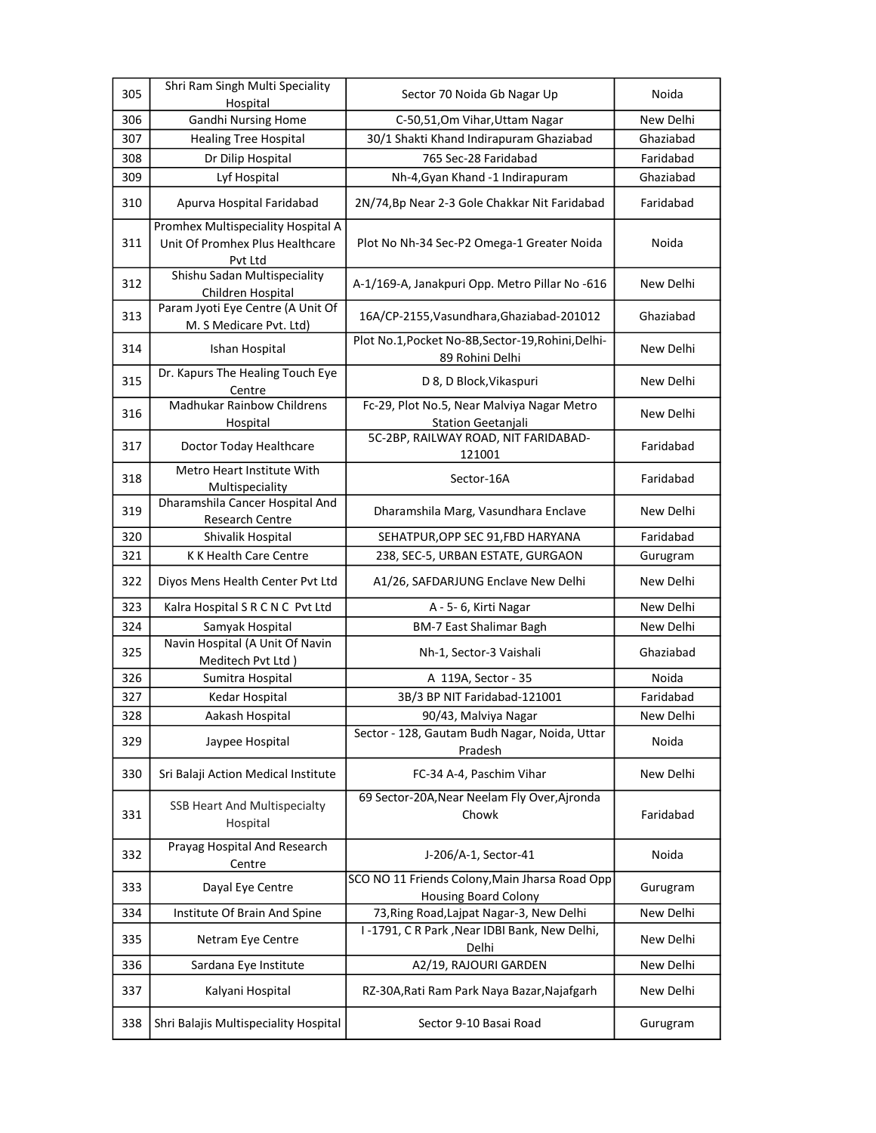| 305 | Shri Ram Singh Multi Speciality<br>Hospital                                      | Sector 70 Noida Gb Nagar Up                                                   | Noida     |
|-----|----------------------------------------------------------------------------------|-------------------------------------------------------------------------------|-----------|
| 306 | <b>Gandhi Nursing Home</b>                                                       | C-50,51, Om Vihar, Uttam Nagar                                                | New Delhi |
| 307 | <b>Healing Tree Hospital</b>                                                     | 30/1 Shakti Khand Indirapuram Ghaziabad                                       | Ghaziabad |
| 308 | Dr Dilip Hospital                                                                | 765 Sec-28 Faridabad                                                          | Faridabad |
| 309 | Lyf Hospital                                                                     | Nh-4, Gyan Khand -1 Indirapuram                                               | Ghaziabad |
| 310 | Apurva Hospital Faridabad                                                        | 2N/74, Bp Near 2-3 Gole Chakkar Nit Faridabad                                 | Faridabad |
| 311 | Promhex Multispeciality Hospital A<br>Unit Of Promhex Plus Healthcare<br>Pvt Ltd | Plot No Nh-34 Sec-P2 Omega-1 Greater Noida                                    | Noida     |
| 312 | Shishu Sadan Multispeciality<br>Children Hospital                                | A-1/169-A, Janakpuri Opp. Metro Pillar No -616                                | New Delhi |
| 313 | Param Jyoti Eye Centre (A Unit Of<br>M. S Medicare Pvt. Ltd)                     | 16A/CP-2155, Vasundhara, Ghaziabad-201012                                     | Ghaziabad |
| 314 | Ishan Hospital                                                                   | Plot No.1, Pocket No-8B, Sector-19, Rohini, Delhi-<br>89 Rohini Delhi         | New Delhi |
| 315 | Dr. Kapurs The Healing Touch Eye<br>Centre                                       | D 8, D Block, Vikaspuri                                                       | New Delhi |
| 316 | <b>Madhukar Rainbow Childrens</b><br>Hospital                                    | Fc-29, Plot No.5, Near Malviya Nagar Metro<br>Station Geetanjali              | New Delhi |
| 317 | Doctor Today Healthcare                                                          | 5C-2BP, RAILWAY ROAD, NIT FARIDABAD-<br>121001                                | Faridabad |
| 318 | Metro Heart Institute With<br>Multispeciality                                    | Sector-16A                                                                    | Faridabad |
| 319 | Dharamshila Cancer Hospital And<br><b>Research Centre</b>                        | Dharamshila Marg, Vasundhara Enclave                                          | New Delhi |
| 320 | Shivalik Hospital                                                                | SEHATPUR, OPP SEC 91, FBD HARYANA                                             | Faridabad |
| 321 | K K Health Care Centre                                                           | 238, SEC-5, URBAN ESTATE, GURGAON                                             | Gurugram  |
| 322 | Diyos Mens Health Center Pvt Ltd                                                 | A1/26, SAFDARJUNG Enclave New Delhi                                           | New Delhi |
| 323 | Kalra Hospital S R C N C Pvt Ltd                                                 | A - 5- 6, Kirti Nagar                                                         | New Delhi |
| 324 | Samyak Hospital                                                                  | <b>BM-7 East Shalimar Bagh</b>                                                | New Delhi |
| 325 | Navin Hospital (A Unit Of Navin<br>Meditech Pvt Ltd)                             | Nh-1, Sector-3 Vaishali                                                       | Ghaziabad |
| 326 | Sumitra Hospital                                                                 | A 119A, Sector - 35                                                           | Noida     |
| 327 | Kedar Hospital                                                                   | 3B/3 BP NIT Faridabad-121001                                                  | Faridabad |
| 328 | Aakash Hospital                                                                  | 90/43, Malviya Nagar                                                          | New Delhi |
| 329 | Jaypee Hospital                                                                  | Sector - 128, Gautam Budh Nagar, Noida, Uttar<br>Pradesh                      | Noida     |
| 330 | Sri Balaji Action Medical Institute                                              | FC-34 A-4, Paschim Vihar                                                      | New Delhi |
| 331 | SSB Heart And Multispecialty<br>Hospital                                         | 69 Sector-20A, Near Neelam Fly Over, Ajronda<br>Chowk                         | Faridabad |
| 332 | Prayag Hospital And Research<br>Centre                                           | J-206/A-1, Sector-41                                                          | Noida     |
| 333 | Dayal Eye Centre                                                                 | SCO NO 11 Friends Colony, Main Jharsa Road Opp<br><b>Housing Board Colony</b> | Gurugram  |
| 334 | Institute Of Brain And Spine                                                     | 73, Ring Road, Lajpat Nagar-3, New Delhi                                      | New Delhi |
| 335 | Netram Eye Centre                                                                | I-1791, CR Park, Near IDBI Bank, New Delhi,<br>Delhi                          | New Delhi |
| 336 | Sardana Eye Institute                                                            | A2/19, RAJOURI GARDEN                                                         | New Delhi |
| 337 | Kalyani Hospital                                                                 | RZ-30A, Rati Ram Park Naya Bazar, Najafgarh                                   | New Delhi |
| 338 | Shri Balajis Multispeciality Hospital                                            | Sector 9-10 Basai Road                                                        | Gurugram  |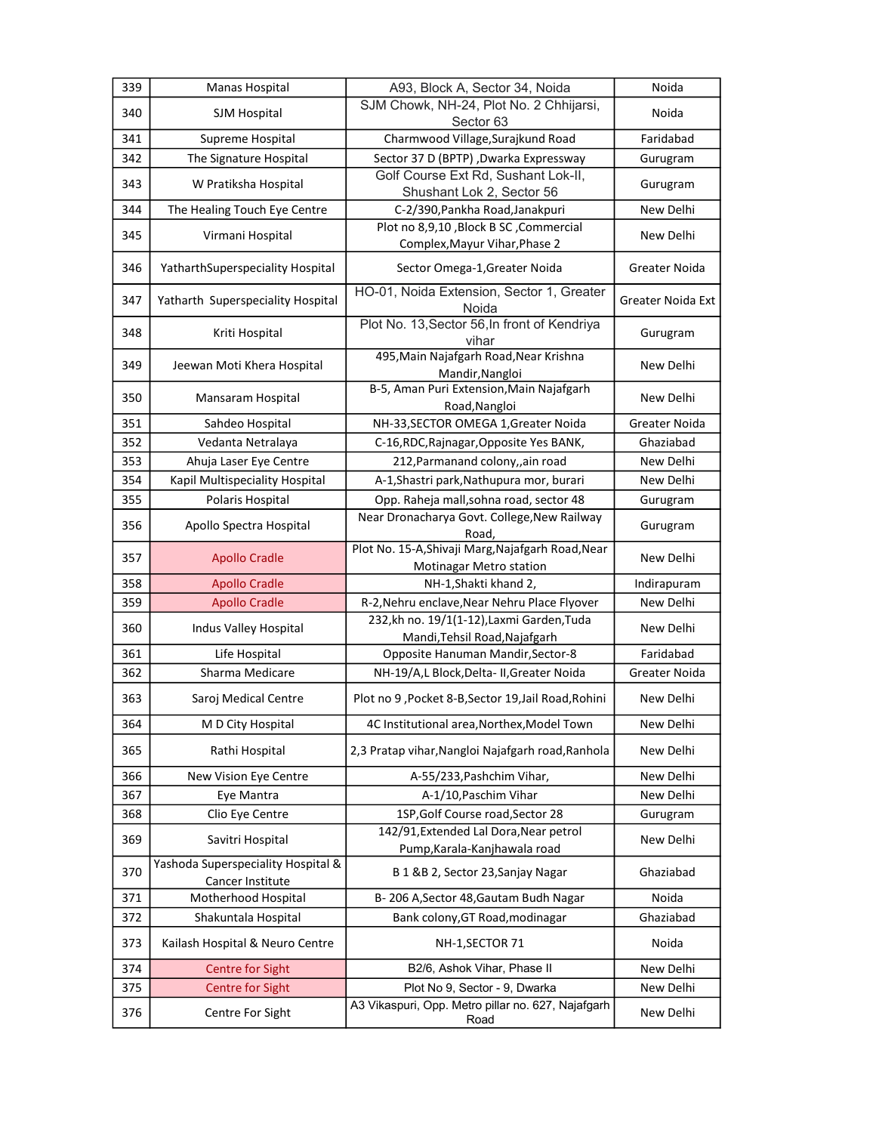| 339 | Manas Hospital                                         | A93, Block A, Sector 34, Noida                                               | Noida                    |
|-----|--------------------------------------------------------|------------------------------------------------------------------------------|--------------------------|
| 340 | SJM Hospital                                           | SJM Chowk, NH-24, Plot No. 2 Chhijarsi,<br>Sector 63                         | Noida                    |
| 341 | Supreme Hospital                                       | Charmwood Village, Surajkund Road                                            | Faridabad                |
| 342 | The Signature Hospital                                 | Sector 37 D (BPTP) , Dwarka Expressway                                       | Gurugram                 |
| 343 | W Pratiksha Hospital                                   | Golf Course Ext Rd, Sushant Lok-II,<br>Shushant Lok 2, Sector 56             | Gurugram                 |
| 344 | The Healing Touch Eye Centre                           | C-2/390, Pankha Road, Janakpuri                                              | New Delhi                |
| 345 | Virmani Hospital                                       | Plot no 8,9,10, Block B SC, Commercial<br>Complex, Mayur Vihar, Phase 2      | New Delhi                |
| 346 | YatharthSuperspeciality Hospital                       | Sector Omega-1, Greater Noida                                                | Greater Noida            |
| 347 | Yatharth Superspeciality Hospital                      | HO-01, Noida Extension, Sector 1, Greater<br>Noida                           | <b>Greater Noida Ext</b> |
| 348 | Kriti Hospital                                         | Plot No. 13, Sector 56, In front of Kendriya<br>vihar                        | Gurugram                 |
| 349 | Jeewan Moti Khera Hospital                             | 495, Main Najafgarh Road, Near Krishna<br>Mandir, Nangloi                    | New Delhi                |
| 350 | Mansaram Hospital                                      | B-5, Aman Puri Extension, Main Najafgarh<br>Road, Nangloi                    | New Delhi                |
| 351 | Sahdeo Hospital                                        | NH-33, SECTOR OMEGA 1, Greater Noida                                         | <b>Greater Noida</b>     |
| 352 | Vedanta Netralaya                                      | C-16, RDC, Rajnagar, Opposite Yes BANK,                                      | Ghaziabad                |
| 353 | Ahuja Laser Eye Centre                                 | 212, Parmanand colony,, ain road                                             | New Delhi                |
| 354 | Kapil Multispeciality Hospital                         | A-1, Shastri park, Nathupura mor, burari                                     | New Delhi                |
| 355 | Polaris Hospital                                       | Opp. Raheja mall, sohna road, sector 48                                      | Gurugram                 |
| 356 | Apollo Spectra Hospital                                | Near Dronacharya Govt. College, New Railway<br>Road,                         | Gurugram                 |
| 357 | <b>Apollo Cradle</b>                                   | Plot No. 15-A, Shivaji Marg, Najafgarh Road, Near<br>Motinagar Metro station | New Delhi                |
| 358 | <b>Apollo Cradle</b>                                   | NH-1, Shakti khand 2,                                                        | Indirapuram              |
| 359 | <b>Apollo Cradle</b>                                   | R-2, Nehru enclave, Near Nehru Place Flyover                                 | New Delhi                |
| 360 | Indus Valley Hospital                                  | 232,kh no. 19/1(1-12), Laxmi Garden, Tuda<br>Mandi, Tehsil Road, Najafgarh   | New Delhi                |
| 361 | Life Hospital                                          | Opposite Hanuman Mandir, Sector-8                                            | Faridabad                |
| 362 | Sharma Medicare                                        | NH-19/A,L Block, Delta- II, Greater Noida                                    | Greater Noida            |
| 363 | Saroj Medical Centre                                   | Plot no 9, Pocket 8-B, Sector 19, Jail Road, Rohini                          | New Delhi                |
| 364 | M D City Hospital                                      | 4C Institutional area, Northex, Model Town                                   | New Delhi                |
| 365 | Rathi Hospital                                         | 2,3 Pratap vihar, Nangloi Najafgarh road, Ranhola                            | New Delhi                |
| 366 | New Vision Eye Centre                                  | A-55/233, Pashchim Vihar,                                                    | New Delhi                |
| 367 | Eye Mantra                                             | A-1/10, Paschim Vihar                                                        | New Delhi                |
| 368 | Clio Eye Centre                                        | 1SP, Golf Course road, Sector 28                                             | Gurugram                 |
| 369 | Savitri Hospital                                       | 142/91, Extended Lal Dora, Near petrol<br>Pump, Karala-Kanjhawala road       | New Delhi                |
| 370 | Yashoda Superspeciality Hospital &<br>Cancer Institute | B 1 &B 2, Sector 23, Sanjay Nagar                                            | Ghaziabad                |
| 371 | Motherhood Hospital                                    | B-206 A, Sector 48, Gautam Budh Nagar                                        | Noida                    |
| 372 | Shakuntala Hospital                                    | Bank colony, GT Road, modinagar                                              | Ghaziabad                |
| 373 | Kailash Hospital & Neuro Centre                        | NH-1, SECTOR 71                                                              | Noida                    |
| 374 | <b>Centre for Sight</b>                                | B2/6, Ashok Vihar, Phase II                                                  | New Delhi                |
| 375 | <b>Centre for Sight</b>                                | Plot No 9, Sector - 9, Dwarka                                                | New Delhi                |
| 376 | Centre For Sight                                       | A3 Vikaspuri, Opp. Metro pillar no. 627, Najafgarh<br>Road                   | New Delhi                |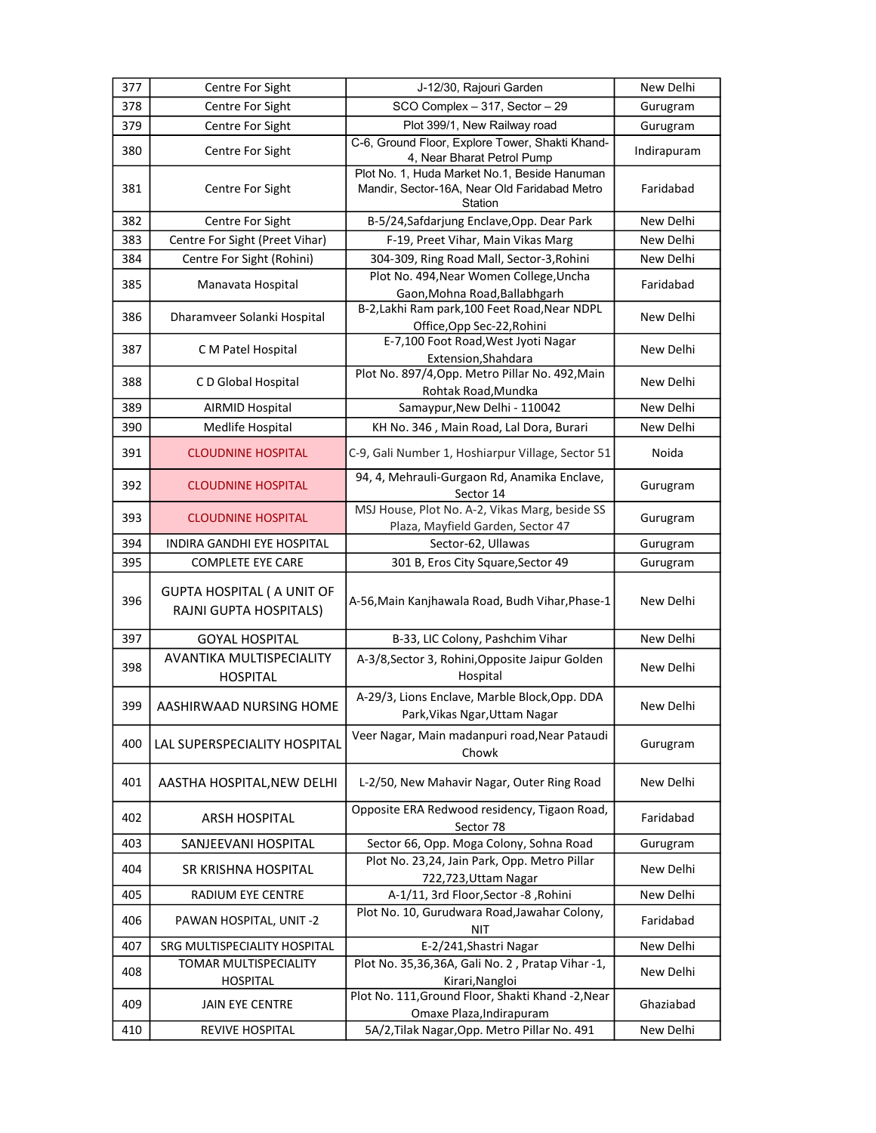| 377 | Centre For Sight                                            | J-12/30, Rajouri Garden                                                                                 | New Delhi   |
|-----|-------------------------------------------------------------|---------------------------------------------------------------------------------------------------------|-------------|
| 378 | Centre For Sight                                            | SCO Complex - 317, Sector - 29                                                                          | Gurugram    |
| 379 | Centre For Sight                                            | Plot 399/1, New Railway road                                                                            | Gurugram    |
| 380 | Centre For Sight                                            | C-6, Ground Floor, Explore Tower, Shakti Khand-<br>4, Near Bharat Petrol Pump                           | Indirapuram |
| 381 | Centre For Sight                                            | Plot No. 1, Huda Market No.1, Beside Hanuman<br>Mandir, Sector-16A, Near Old Faridabad Metro<br>Station | Faridabad   |
| 382 | Centre For Sight                                            | B-5/24, Safdarjung Enclave, Opp. Dear Park                                                              | New Delhi   |
| 383 | Centre For Sight (Preet Vihar)                              | F-19, Preet Vihar, Main Vikas Marg                                                                      | New Delhi   |
| 384 | Centre For Sight (Rohini)                                   | 304-309, Ring Road Mall, Sector-3, Rohini                                                               | New Delhi   |
| 385 | Manavata Hospital                                           | Plot No. 494, Near Women College, Uncha<br>Gaon, Mohna Road, Ballabhgarh                                | Faridabad   |
| 386 | Dharamveer Solanki Hospital                                 | B-2, Lakhi Ram park, 100 Feet Road, Near NDPL<br>Office, Opp Sec-22, Rohini                             | New Delhi   |
| 387 | C M Patel Hospital                                          | E-7,100 Foot Road, West Jyoti Nagar<br>Extension, Shahdara                                              | New Delhi   |
| 388 | C D Global Hospital                                         | Plot No. 897/4, Opp. Metro Pillar No. 492, Main<br>Rohtak Road, Mundka                                  | New Delhi   |
| 389 | <b>AIRMID Hospital</b>                                      | Samaypur, New Delhi - 110042                                                                            | New Delhi   |
| 390 | Medlife Hospital                                            | KH No. 346, Main Road, Lal Dora, Burari                                                                 | New Delhi   |
| 391 | <b>CLOUDNINE HOSPITAL</b>                                   | C-9, Gali Number 1, Hoshiarpur Village, Sector 51                                                       | Noida       |
| 392 | <b>CLOUDNINE HOSPITAL</b>                                   | 94, 4, Mehrauli-Gurgaon Rd, Anamika Enclave,<br>Sector 14                                               | Gurugram    |
| 393 | <b>CLOUDNINE HOSPITAL</b>                                   | MSJ House, Plot No. A-2, Vikas Marg, beside SS<br>Plaza, Mayfield Garden, Sector 47                     | Gurugram    |
| 394 | INDIRA GANDHI EYE HOSPITAL                                  | Sector-62, Ullawas                                                                                      | Gurugram    |
| 395 | <b>COMPLETE EYE CARE</b>                                    | 301 B, Eros City Square, Sector 49                                                                      | Gurugram    |
| 396 | <b>GUPTA HOSPITAL ( A UNIT OF</b><br>RAJNI GUPTA HOSPITALS) | A-56, Main Kanjhawala Road, Budh Vihar, Phase-1                                                         | New Delhi   |
| 397 | <b>GOYAL HOSPITAL</b>                                       | B-33, LIC Colony, Pashchim Vihar                                                                        | New Delhi   |
| 398 | AVANTIKA MULTISPECIALITY<br><b>HOSPITAL</b>                 | A-3/8, Sector 3, Rohini, Opposite Jaipur Golden<br>Hospital                                             | New Delhi   |
| 399 | AASHIRWAAD NURSING HOME                                     | A-29/3, Lions Enclave, Marble Block, Opp. DDA<br>Park, Vikas Ngar, Uttam Nagar                          | New Delhi   |
| 400 | LAL SUPERSPECIALITY HOSPITAL                                | Veer Nagar, Main madanpuri road, Near Pataudi<br>Chowk                                                  | Gurugram    |
| 401 | AASTHA HOSPITAL, NEW DELHI                                  | L-2/50, New Mahavir Nagar, Outer Ring Road                                                              | New Delhi   |
| 402 | <b>ARSH HOSPITAL</b>                                        | Opposite ERA Redwood residency, Tigaon Road,<br>Sector 78                                               | Faridabad   |
| 403 | SANJEEVANI HOSPITAL                                         | Sector 66, Opp. Moga Colony, Sohna Road                                                                 | Gurugram    |
| 404 | <b>SR KRISHNA HOSPITAL</b>                                  | Plot No. 23,24, Jain Park, Opp. Metro Pillar<br>722,723, Uttam Nagar                                    | New Delhi   |
| 405 | RADIUM EYE CENTRE                                           | A-1/11, 3rd Floor, Sector -8, Rohini                                                                    | New Delhi   |
| 406 | PAWAN HOSPITAL, UNIT -2                                     | Plot No. 10, Gurudwara Road, Jawahar Colony,<br><b>NIT</b>                                              | Faridabad   |
| 407 | SRG MULTISPECIALITY HOSPITAL                                | E-2/241, Shastri Nagar                                                                                  | New Delhi   |
| 408 | TOMAR MULTISPECIALITY<br><b>HOSPITAL</b>                    | Plot No. 35,36,36A, Gali No. 2, Pratap Vihar -1,<br>Kirari, Nangloi                                     | New Delhi   |
| 409 | <b>JAIN EYE CENTRE</b>                                      | Plot No. 111, Ground Floor, Shakti Khand -2, Near<br>Omaxe Plaza, Indirapuram                           | Ghaziabad   |
| 410 | REVIVE HOSPITAL                                             | 5A/2, Tilak Nagar, Opp. Metro Pillar No. 491                                                            | New Delhi   |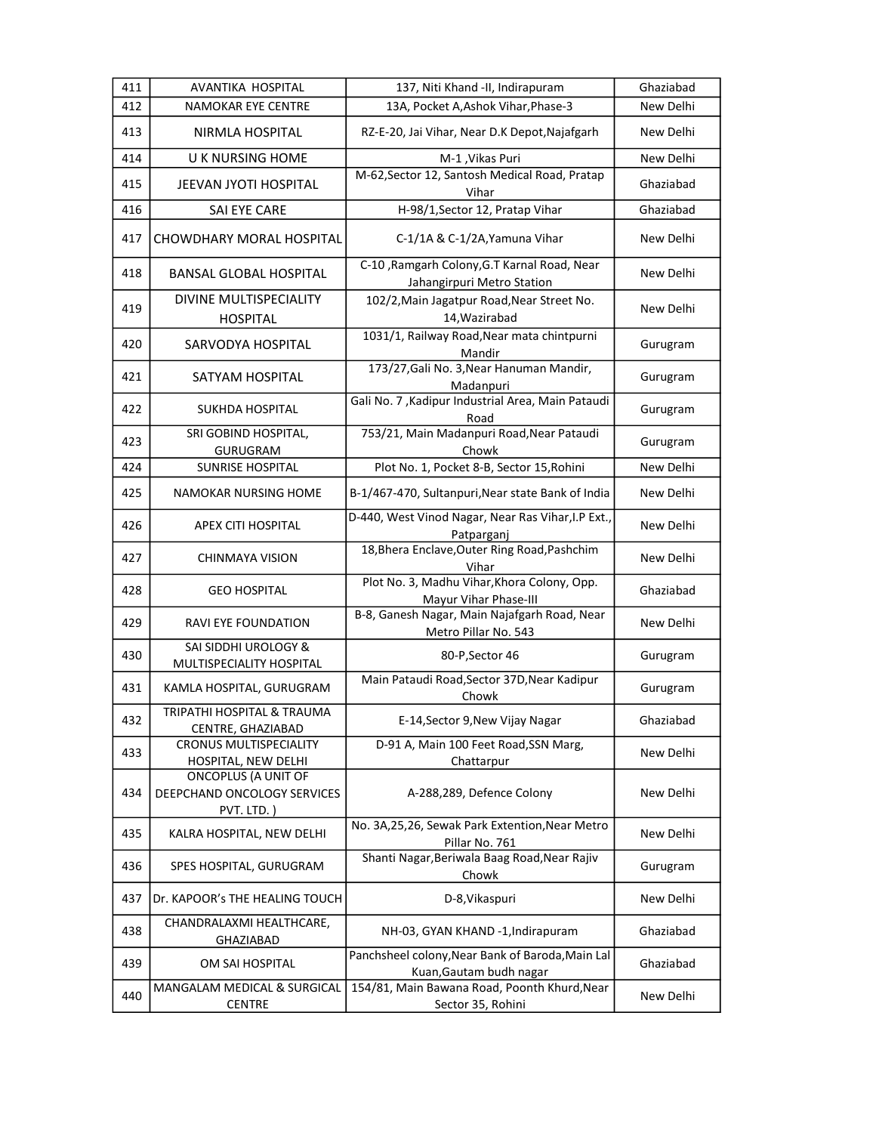| 411 | AVANTIKA HOSPITAL                                                       | 137, Niti Khand -II, Indirapuram                                            | Ghaziabad |
|-----|-------------------------------------------------------------------------|-----------------------------------------------------------------------------|-----------|
| 412 | NAMOKAR EYE CENTRE                                                      | 13A, Pocket A, Ashok Vihar, Phase-3                                         | New Delhi |
| 413 | NIRMLA HOSPITAL                                                         | RZ-E-20, Jai Vihar, Near D.K Depot, Najafgarh                               | New Delhi |
| 414 | <b>UK NURSING HOME</b>                                                  | M-1, Vikas Puri                                                             | New Delhi |
| 415 | JEEVAN JYOTI HOSPITAL                                                   | M-62, Sector 12, Santosh Medical Road, Pratap<br>Vihar                      | Ghaziabad |
| 416 | SAI EYE CARE                                                            | H-98/1, Sector 12, Pratap Vihar                                             | Ghaziabad |
| 417 | <b>CHOWDHARY MORAL HOSPITAL</b>                                         | C-1/1A & C-1/2A, Yamuna Vihar                                               | New Delhi |
| 418 | <b>BANSAL GLOBAL HOSPITAL</b>                                           | C-10, Ramgarh Colony, G.T Karnal Road, Near<br>Jahangirpuri Metro Station   | New Delhi |
| 419 | DIVINE MULTISPECIALITY<br><b>HOSPITAL</b>                               | 102/2, Main Jagatpur Road, Near Street No.<br>14, Wazirabad                 | New Delhi |
| 420 | SARVODYA HOSPITAL                                                       | 1031/1, Railway Road, Near mata chintpurni<br>Mandir                        | Gurugram  |
| 421 | SATYAM HOSPITAL                                                         | 173/27, Gali No. 3, Near Hanuman Mandir,<br>Madanpuri                       | Gurugram  |
| 422 | SUKHDA HOSPITAL                                                         | Gali No. 7, Kadipur Industrial Area, Main Pataudi<br>Road                   | Gurugram  |
| 423 | SRI GOBIND HOSPITAL,<br><b>GURUGRAM</b>                                 | 753/21, Main Madanpuri Road, Near Pataudi<br>Chowk                          | Gurugram  |
| 424 | SUNRISE HOSPITAL                                                        | Plot No. 1, Pocket 8-B, Sector 15, Rohini                                   | New Delhi |
| 425 | NAMOKAR NURSING HOME                                                    | B-1/467-470, Sultanpuri, Near state Bank of India                           | New Delhi |
| 426 | <b>APEX CITI HOSPITAL</b>                                               | D-440, West Vinod Nagar, Near Ras Vihar, I.P Ext.,<br>Patparganj            | New Delhi |
| 427 | CHINMAYA VISION                                                         | 18, Bhera Enclave, Outer Ring Road, Pashchim<br>Vihar                       | New Delhi |
| 428 | <b>GEO HOSPITAL</b>                                                     | Plot No. 3, Madhu Vihar, Khora Colony, Opp.<br>Mayur Vihar Phase-III        | Ghaziabad |
| 429 | <b>RAVI EYE FOUNDATION</b>                                              | B-8, Ganesh Nagar, Main Najafgarh Road, Near<br>Metro Pillar No. 543        | New Delhi |
| 430 | SAI SIDDHI UROLOGY &<br>MULTISPECIALITY HOSPITAL                        | 80-P, Sector 46                                                             | Gurugram  |
| 431 | KAMLA HOSPITAL, GURUGRAM                                                | Main Pataudi Road, Sector 37D, Near Kadipur<br>Chowk                        | Gurugram  |
| 432 | TRIPATHI HOSPITAL & TRAUMA<br>CENTRE, GHAZIABAD                         | E-14, Sector 9, New Vijay Nagar                                             | Ghaziabad |
| 433 | <b>CRONUS MULTISPECIALITY</b><br>HOSPITAL, NEW DELHI                    | D-91 A, Main 100 Feet Road, SSN Marg,<br>Chattarpur                         | New Delhi |
| 434 | <b>ONCOPLUS (A UNIT OF</b><br>DEEPCHAND ONCOLOGY SERVICES<br>PVT. LTD.) | A-288,289, Defence Colony                                                   | New Delhi |
| 435 | KALRA HOSPITAL, NEW DELHI                                               | No. 3A,25,26, Sewak Park Extention, Near Metro<br>Pillar No. 761            | New Delhi |
| 436 | SPES HOSPITAL, GURUGRAM                                                 | Shanti Nagar, Beriwala Baag Road, Near Rajiv<br>Chowk                       | Gurugram  |
| 437 | Dr. KAPOOR's THE HEALING TOUCH                                          | D-8, Vikaspuri                                                              | New Delhi |
| 438 | CHANDRALAXMI HEALTHCARE,<br>GHAZIABAD                                   | NH-03, GYAN KHAND -1, Indirapuram                                           | Ghaziabad |
| 439 | OM SAI HOSPITAL                                                         | Panchsheel colony, Near Bank of Baroda, Main Lal<br>Kuan, Gautam budh nagar | Ghaziabad |
| 440 | MANGALAM MEDICAL & SURGICAL<br><b>CENTRE</b>                            | 154/81, Main Bawana Road, Poonth Khurd, Near<br>Sector 35, Rohini           | New Delhi |